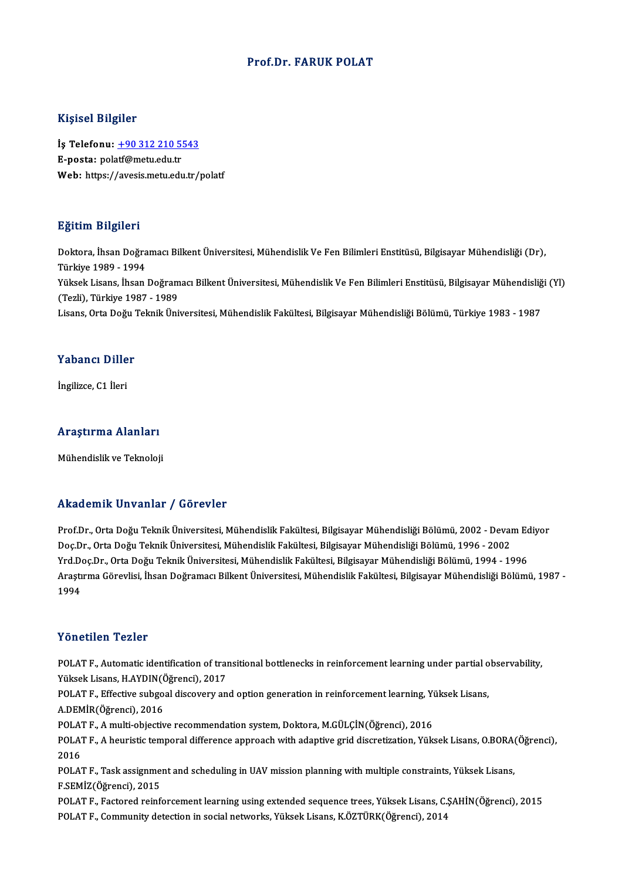#### Prof.Dr. FARUK POLAT

#### Kişisel Bilgiler

Kişisel Bilgiler<br>İş Telefonu: <u>+90 312 210 5543</u><br>E nosta: pekt@metu.edu.tr 11191001 Dingitor<br>İş Telefonu: <u>+90 312 210 5!</u><br>E-posta: pol[atf@metu.edu.tr](tel:+90 312 210 5543) E-posta: polatf@metu.edu.tr<br>Web: https://avesis.metu.edu.tr/polatf

#### Eğitim Bilgileri

**Eğitim Bilgileri**<br>Doktora, İhsan Doğramacı Bilkent Üniversitesi, Mühendislik Ve Fen Bilimleri Enstitüsü, Bilgisayar Mühendisliği (Dr),<br>Türkiye 1989 - 1994 21<br>Doktora, İhsan Doğra<br>Türkiye 1989 - 1994<br>Yüksek Lisans, İbsan Doktora, İhsan Doğramacı Bilkent Üniversitesi, Mühendislik Ve Fen Bilimleri Enstitüsü, Bilgisayar Mühendisliği (Dr),<br>Türkiye 1989 - 1994<br>Yüksek Lisans, İhsan Doğramacı Bilkent Üniversitesi, Mühendislik Ve Fen Bilimleri Ens Türkiye 1989 - 1994<br>Yüksek Lisans, İhsan Doğram<br>(Tezli), Türkiye 1987 - 1989<br>Lisans, Orta Doğu Telmik Üni Yüksek Lisans, İhsan Doğramacı Bilkent Üniversitesi, Mühendislik Ve Fen Bilimleri Enstitüsü, Bilgisayar Mühendisliğ<br>(Tezli), Türkiye 1987 - 1989<br>Lisans, Orta Doğu Teknik Üniversitesi, Mühendislik Fakültesi, Bilgisayar Mühe Lisans, Orta Doğu Teknik Üniversitesi, Mühendislik Fakültesi, Bilgisayar Mühendisliği Bölümü, Türkiye 1983 - 1987<br>Yabancı Diller

İngilizce, C1 İleri

## <sub>Ingliizce, CT lieri<br>Araştırma Alanları</sub> <mark>Araştırma Alanları</mark><br>Mühendislik ve Teknoloji

# Mühendislik ve Teknoloji<br>Akademik Unvanlar / Görevler

Akademik Unvanlar / Görevler<br>Prof.Dr., Orta Doğu Teknik Üniversitesi, Mühendislik Fakültesi, Bilgisayar Mühendisliği Bölümü, 2002 - Devam Ediyor<br>Des Dr., Orta Doğu Teknik Üniversitesi, Mühendislik Fakültesi, Bilgisayar Müh rrittat olirik Sirvaniar 7 "dərəvisi"<br>Prof.Dr., Orta Doğu Teknik Üniversitesi, Mühendislik Fakültesi, Bilgisayar Mühendisliği Bölümü, 2002 - Devai<br>Vrd Doc.Dr., Orta Doğu Teknik Üniversitesi, Mühendislik Fakültesi, Bilgisay Prof.Dr., Orta Doğu Teknik Üniversitesi, Mühendislik Fakültesi, Bilgisayar Mühendisliği Bölümü, 2002 - Devam Ec<br>Doç.Dr., Orta Doğu Teknik Üniversitesi, Mühendislik Fakültesi, Bilgisayar Mühendisliği Bölümü, 1996 - 2002<br>Yrd Doç.Dr., Orta Doğu Teknik Üniversitesi, Mühendislik Fakültesi, Bilgisayar Mühendisliği Bölümü, 1996 - 2002<br>Yrd.Doç.Dr., Orta Doğu Teknik Üniversitesi, Mühendislik Fakültesi, Bilgisayar Mühendisliği Bölümü, 1994 - 1996<br>Araş Yrd.D<br>Araştı<br>1994 Yönetilen Tezler

Yönetilen Tezler<br>POLAT F., Automatic identification of transitional bottlenecks in reinforcement learning under partial observability,<br>Vükaak Lisans, H.AXDIN(Öğrensi), 2017 YÜKSEKLISI YÜKSEK<br>POLAT F., Automatic identification of trans<br>Yüksek Lisans, H.AYDIN(Öğrenci), 2017<br>POLAT E. Effective subseal dissevery an POLAT F., Automatic identification of transitional bottlenecks in reinforcement learning under partial o<br>Yüksek Lisans, H.AYDIN(Öğrenci), 2017<br>POLAT F., Effective subgoal discovery and option generation in reinforcement le Yüksek Lisans, H.AYDIN(Ö<br>POLAT F., Effective subgo:<br>A.DEMİR(Öğrenci), 2016<br>POLAT E. A. multi sbisetiy POLAT F., Effective subgoal discovery and option generation in reinforcement learning, Yi<br>A.DEMİR(Öğrenci), 2016<br>POLAT F., A multi-objective recommendation system, Doktora, M.GÜLÇİN(Öğrenci), 2016<br>POLAT F., A bevristis tem A.DEMİR(Öğrenci), 2016<br>POLAT F., A multi-objective recommendation system, Doktora, M.GÜLÇİN(Öğrenci), 2016<br>POLAT F., A heuristic temporal difference approach with adaptive grid discretization, Yüksek Lisans, O.BORA(Öğrenci POLAT<br>POLAT<br>2016<br>POLAT POLAT F., A heuristic temporal difference approach with adaptive grid discretization, Yüksek Lisans, O.BORA<br>2016<br>POLAT F., Task assignment and scheduling in UAV mission planning with multiple constraints, Yüksek Lisans,<br>E 2016<br>POLAT F., Task assignment and scheduling in UAV mission planning with multiple constraints, Yüksek Lisans,<br>F.SEMİZ(Öğrenci), 2015 POLAT F., Factored reinforcement learning using extended sequence trees, Yüksek Lisans, C.ŞAHİN(Öğrenci), 2015 POLAT F., Community detection in social networks, Yüksek Lisans, K.ÖZTÜRK(Öğrenci), 2014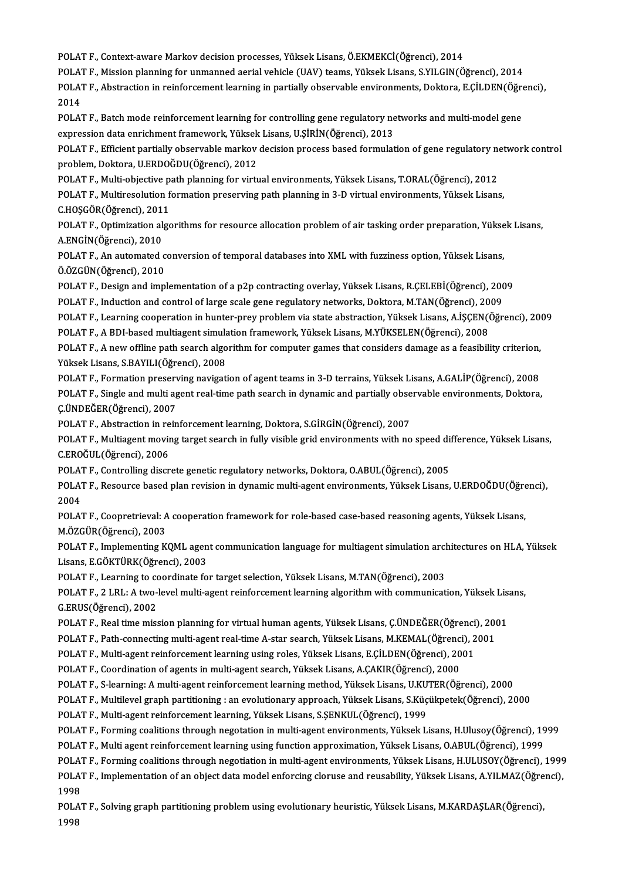POLAT F., Context-aware Markov decision processes, Yüksek Lisans, Ö.EKMEKCİ(Öğrenci), 2014<br>POLAT E. Mission planning for unmanned eeriel vehicle (UAV) teams Vülgek Lisans, S.VII CIN(Ö

POLAT F., Context-aware Markov decision processes, Yüksek Lisans, Ö.EKMEKCİ(Öğrenci), 2014<br>POLAT F., Mission planning for unmanned aerial vehicle (UAV) teams, Yüksek Lisans, S.YILGIN(Öğrenci), 2014<br>POLAT E., Abstrastion in POLAT F., Mission planning for unmanned aerial vehicle (UAV) teams, Yüksek Lisans, S.YILGIN(Öğrenci), 2014

POLAT F., Abstraction in reinforcement learning in partially observable environments, Doktora, E.ÇİLDEN(Öğrenci),<br>2014 POLAT F., Abstraction in reinforcement learning in partially observable environments, Doktora, E.ÇİLDEN(Öğre<br>2014<br>POLAT F., Batch mode reinforcement learning for controlling gene regulatory networks and multi-model gene<br>ay

2014<br>POLAT F., Batch mode reinforcement learning for controlling gene regulatory ne<br>expression data enrichment framework, Yüksek Lisans, U.ŞİRİN(Öğrenci), 2013<br>POLAT E. Efficient partially observable markov desisian presse POLAT F., Batch mode reinforcement learning for controlling gene regulatory networks and multi-model gene<br>expression data enrichment framework, Yüksek Lisans, U.ŞİRİN(Öğrenci), 2013<br>POLAT F., Efficient partially observable

expression data enrichment framework, Yüksek<br>POLAT F., Efficient partially observable markov<br>problem, Doktora, U.ERDOĞDU(Öğrenci), 2012<br>POLAT E. Multi objective path planning for virti POLAT F., Efficient partially observable markov decision process based formulation of gene regulatory no<br>problem, Doktora, U.ERDOĞDU(Öğrenci), 2012<br>POLAT F., Multi-objective path planning for virtual environments, Yüksek L

problem, Doktora, U.ERDOĞDU(Öğrenci), 2012<br>POLAT F., Multi-objective path planning for virtual environments, Yüksek Lisans, T.ORAL(Öğrenci), 2012<br>POLAT F., Multiresolution formation preserving path planning in 3-D virtual POLAT F., Multi-objective path planning for virtual environments, Yüksek Lisans, T,ORAL(Öğrenci), 2012

C.HOŞGÖR(Öğrenci), 2011

POLAT F., Optimization algorithms for resource allocation problem of air tasking order preparation, Yüksek Lisans,<br>A.ENGİN(Öğrenci), 2010 POLAT F., Optimization algorithms for resource allocation problem of air tasking order preparation, Yükse<br>A.ENGİN(Öğrenci), 2010<br>POLAT F., An automated conversion of temporal databases into XML with fuzziness option, Yükse

A.ENGİN(Öğrenci), 2010<br>POLAT F., An automated c<br>Ö.ÖZGÜN(Öğrenci), 2010<br>POLAT E. Desirn and imp POLAT F., An automated conversion of temporal databases into XML with fuzziness option, Yüksek Lisans,<br>Ö.ÖZGÜN(Öğrenci), 2010<br>POLAT F., Design and implementation of a p2p contracting overlay, Yüksek Lisans, R.ÇELEBİ(Öğrenc

Ö.ÖZGÜN(Öğrenci), 2010<br>POLAT F., Design and implementation of a p2p contracting overlay, Yüksek Lisans, R.ÇELEBİ(Öğrenci), 2009<br>POLAT F., Induction and control of large scale gene regulatory networks, Doktora, M.TAN(Öğrenc

POLAT F., Design and implementation of a p2p contracting overlay, Yüksek Lisans, R.ÇELEBİ(Öğrenci), 2009<br>POLAT F., Induction and control of large scale gene regulatory networks, Doktora, M.TAN(Öğrenci), 2009<br>POLAT F., Lear POLAT F., Induction and control of large scale gene regulatory networks, Doktora, M.TAN(Öğrenci), 20<br>POLAT F., Learning cooperation in hunter-prey problem via state abstraction, Yüksek Lisans, A.İŞÇEN(Ö<br>POLAT F., A BDI-bas

POLAT F., Learning cooperation in hunter-prey problem via state abstraction, Yüksek Lisans, A.İŞÇEN(Öğrenci), 20<br>POLAT F., A BDI-based multiagent simulation framework, Yüksek Lisans, M.YÜKSELEN(Öğrenci), 2008<br>POLAT F., A n POLAT F., A BDI-based multiagent simulation framework, Yüksek Lisans, M.YÜKSELEN(Öğrenci), 2008<br>POLAT F., A new offline path search algorithm for computer games that considers damage as a feasibility criterion,<br>Yüksek Lisa POLAT F., A new offline path search algorithm for computer games that considers damage as a feasibility criterion,

Yüksek Lisans, S.BAYILI(Öğrenci), 2008<br>POLAT F., Formation preserving navigation of agent teams in 3-D terrains, Yüksek Lisans, A.GALİP(Öğrenci), 2008<br>POLAT F., Single and multi agent real-time path search in dynamic and p Ç.ÜNDEĞER(Öğrenci),2007 POLAT F., Single and multi agent real-time path search in dynamic and partially obse<br>C.ÜNDEĞER(Öğrenci), 2007<br>POLAT F., Abstraction in reinforcement learning, Doktora, S.GİRGİN(Öğrenci), 2007<br>POLAT E. Multiagent moving tar

Ç.ÜNDEĞER(Öğrenci), 2007<br>POLAT F., Abstraction in reinforcement learning, Doktora, S.GİRGİN(Öğrenci), 2007<br>POLAT F., Multiagent moving target search in fully visible grid environments with no speed difference, Yüksek Lisan POLAT F., Abstraction in reinforcement learning, Doktora, S.GİRGİN(Öğrenci), 2007<br>POLAT F., Multiagent moving target search in fully visible grid environments with no speed di<br>C.EROĞUL(Öğrenci), 2006<br>POLAT F., Controlling POLAT F., Multiagent moving target search in fully visible grid environments with no speed die<br>C.EROĞUL(Öğrenci), 2006<br>POLAT F., Controlling discrete genetic regulatory networks, Doktora, O.ABUL(Öğrenci), 2005<br>POLAT F., Pe

C.EROĞUL(Öğrenci), 2006<br>POLAT F., Controlling discrete genetic regulatory networks, Doktora, O.ABUL(Öğrenci), 2005<br>POLAT F., Resource based plan revision in dynamic multi-agent environments, Yüksek Lisans, U.ERDOĞDU(Öğrenc POLAT<br>POLAT<br>2004<br>POLAT POLAT F., Resource based plan revision in dynamic multi-agent environments, Yüksek Lisans, U.ERDOĞDU(Öğre<br>2004<br>POLAT F., Coopretrieval: A cooperation framework for role-based case-based reasoning agents, Yüksek Lisans,<br>M.Ö

2004<br>POLAT F., Coopretrieval: A cooperation framework for role-based case-based reasoning agents, Yüksek Lisans,<br>M.ÖZGÜR(Öğrenci), 2003 POLAT F., Coopretrieval: A cooperation framework for role-based case-based reasoning agents, Yüksek Lisans,<br>M.ÖZGÜR(Öğrenci), 2003<br>POLAT F., Implementing KQML agent communication language for multiagent simulation architec

M.ÖZGÜR(Öğrenci), 2003<br>POLAT F., Implementing KQML agen<br>Lisans, E.GÖKTÜRK(Öğrenci), 2003<br>POLAT E. Learning to coordinate fo POLAT F., Implementing KQML agent communication language for multiagent simulation arch<br>Lisans, E.GÖKTÜRK(Öğrenci), 2003<br>POLAT F., Learning to coordinate for target selection, Yüksek Lisans, M.TAN(Öğrenci), 2003<br>POLAT F.,

POLAT F., Learning to coordinate for target selection, Yüksek Lisans, M.TAN(Öğrenci), 2003

Lisans, E.GÖKTÜRK(Öğrenci), 2003<br>POLAT F., Learning to coordinate for target selection, Yüksek Lisans, M.TAN(Öğrenci), 2003<br>POLAT F., 2 LRL: A two-level multi-agent reinforcement learning algorithm with communication, Yüks POLAT F., 2 LRL: A two-level multi-agent reinforcement learning algorithm with communication, Yüksek Lis<mark>.</mark><br>G.ERUS(Öğrenci), 2002<br>POLAT F., Real time mission planning for virtual human agents, Yüksek Lisans, Ç.ÜNDEĞER(Öğre G.ERUS(Öğrenci), 2002<br>POLAT F., Real time mission planning for virtual human agents, Yüksek Lisans, Ç.ÜNDEĞER(Öğrenci), 200<br>POLAT F., Path-connecting multi-agent real-time A-star search, Yüksek Lisans, M.KEMAL(Öğrenci), 20

POLAT F., Real time mission planning for virtual human agents, Yüksek Lisans, Ç.ÜNDEĞER(Öğrenci)<br>POLAT F., Path-connecting multi-agent real-time A-star search, Yüksek Lisans, M.KEMAL(Öğrenci), 2<br>POLAT F., Multi-agent reinf

POLAT F., Path-connecting multi-agent real-time A-star search, Yüksek Lisans, M.KEMAL(Öğrenci), 2001<br>POLAT F., Multi-agent reinforcement learning using roles, Yüksek Lisans, E.ÇİLDEN(Öğrenci), 2001<br>POLAT F., Coordination o

POLAT F., Multi-agent reinforcement learning using roles, Yüksek Lisans, E.ÇİLDEN(Öğrenci), 2001<br>POLAT F., Coordination of agents in multi-agent search, Yüksek Lisans, A.ÇAKIR(Öğrenci), 2000<br>POLAT F., S-learning: A multi-a POLAT F., Coordination of agents in multi-agent search, Yüksek Lisans, A.ÇAKIR(Öğrenci), 2000<br>POLAT F., S-learning: A multi-agent reinforcement learning method, Yüksek Lisans, U.KUTER(Öğrenci), 2000<br>POLAT F., Multilevel gr POLAT F., S-learning: A multi-agent reinforcement learning method, Yüksek Lisans, U.KU<br>POLAT F., Multilevel graph partitioning : an evolutionary approach, Yüksek Lisans, S.Küç<br>POLAT F., Multi-agent reinforcement learning,

POLAT F., Multilevel graph partitioning : an evolutionary approach, Yüksek Lisans, S.Küçükpetek(Öğrenci), 2000<br>POLAT F., Multi-agent reinforcement learning, Yüksek Lisans, S.ŞENKUL(Öğrenci), 1999<br>POLAT F., Forming coalitio

POLAT F., Multi-agent reinforcement learning, Yüksek Lisans, S.ŞENKUL(Öğrenci), 1999<br>POLAT F., Forming coalitions through negotation in multi-agent environments, Yüksek Lisans, H.Ulusoy(Öğrenci), 19<br>POLAT F., Multi agent r POLAT F., Multi agent reinforcement learning using function approximation, Yüksek Lisans, O.ABUL(Öğrenci), 1999<br>POLAT F., Forming coalitions through negotiation in multi-agent environments, Yüksek Lisans, H.ULUSOY(Öğrenci)

POLAT F., Multi agent reinforcement learning using function approximation, Yüksek Lisans, O.ABUL(Öğrenci), 1999<br>POLAT F., Forming coalitions through negotiation in multi-agent environments, Yüksek Lisans, H.ULUSOY(Öğrenci) POLAT<br>POLAT<br>1998<br>POLAT POLAT F., Implementation of an object data model enforcing cloruse and reusability, Yüksek Lisans, A.YILMAZ(Öğre<br>1998<br>POLAT F., Solving graph partitioning problem using evolutionary heuristic, Yüksek Lisans, M.KARDAŞLAR(Öğ

1998<br>POLA<br>1998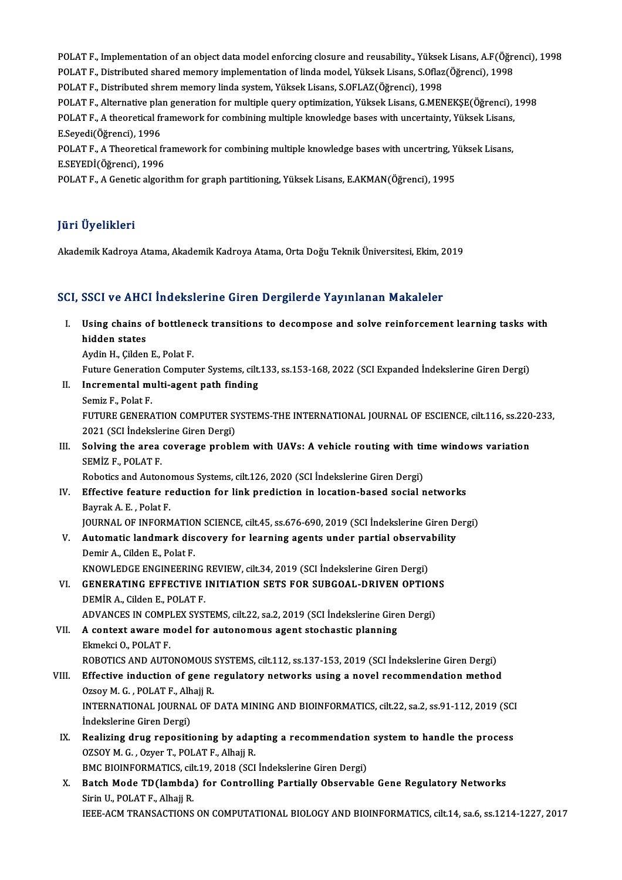POLAT F., Implementation of an object data model enforcing closure and reusability., Yüksek Lisans, A.F(Öğrenci), 1998<br>POLAT E. Distributed shared memeru implementation of linde model. Yüksek Lisans, S.Oflag(Öğrenci), 1998 POLAT F., Implementation of an object data model enforcing closure and reusability., Yüksek Lisans, A.F(Öğre<br>POLAT F., Distributed shared memory implementation of linda model, Yüksek Lisans, S.Oflaz(Öğrenci), 1998<br>POLAT F. POLAT F., Implementation of an object data model enforcing closure and reusability., Yüksek<br>POLAT F., Distributed shared memory implementation of linda model, Yüksek Lisans, S.Oflaz<br>POLAT F., Distributed shrem memory linda

POLAT F., Distributed shared memory implementation of linda model, Yüksek Lisans, S.Oflaz(Öğrenci), 1998<br>POLAT F., Distributed shrem memory linda system, Yüksek Lisans, S.OFLAZ(Öğrenci), 1998<br>POLAT F., Alternative plan gen POLAT F., Distributed shrem memory linda system, Yüksek Lisans, S.OFLAZ(Öğrenci), 1998<br>POLAT F., Alternative plan generation for multiple query optimization, Yüksek Lisans, G.MENEKŞE(Öğrenci),<br>POLAT F., A theoretical frame POLAT F., Alternative pla:<br>POLAT F., A theoretical fr<br>E.Seyedi(Öğrenci), 1996<br>POLAT E. A Theoretical f POLAT F., A theoretical framework for combining multiple knowledge bases with uncertainty, Yüksek Lisans,<br>E.Seyedi(Öğrenci), 1996<br>POLAT F., A Theoretical framework for combining multiple knowledge bases with uncertring, Yü

E.Seyedi(Öğrenci), 1996<br>POLAT F., A Theoretical fr<br>E.SEYEDİ(Öğrenci), 1996<br>POLAT E. A Censtis alsori

E.SEYEDİ(Öğrenci), 1996<br>POLAT F., A Genetic algorithm for graph partitioning, Yüksek Lisans, E.AKMAN(Öğrenci), 1995

#### JüriÜyelikleri

Akademik Kadroya Atama, Akademik Kadroya Atama, Orta Doğu Teknik Üniversitesi, Ekim, 2019

#### SCI, SSCI ve AHCI İndekslerine Giren Dergilerde Yayınlanan Makaleler

CI, SSCI ve AHCI İndekslerine Giren Dergilerde Yayınlanan Makaleler<br>I. Using chains of bottleneck transitions to decompose and solve reinforcement learning tasks with<br>hidden states Using chains<br>Using chains c<br>hidden states<br>Audin H. Gilden Using chains of bottlene<br>hidden states<br>Aydin H., Çilden E., Polat F.<br>Euture Conoration Comput hidden states<br>Aydin H., Çilden E., Polat F.<br>Future Generation Computer Systems, cilt.133, ss.153-168, 2022 (SCI Expanded İndekslerine Giren Dergi)<br>Inexementel multi agent nath finding

Aydin H., Çilden E., Polat F.<br>Future Generation Computer Systems, cilt.<br>II. Incremental multi-agent path finding<br>Semiz F., Polat F. Future Generatio<br>In<mark>cremental m</mark><br>Semiz F., Polat F.<br>בעמשת CENED

Incremental multi-agent path finding<br>Semiz F., Polat F.<br>FUTURE GENERATION COMPUTER SYSTEMS-THE INTERNATIONAL JOURNAL OF ESCIENCE, cilt.116, ss.220-233,<br>2021 (SCI Indekslerine Giren Dergi) Semiz F., Polat F.<br>FUTURE GENERATION COMPUTER SY<br>2021 (SCI İndekslerine Giren Dergi)<br>Selving the area severage prehlı FUTURE GENERATION COMPUTER SYSTEMS-THE INTERNATIONAL JOURNAL OF ESCIENCE, cilt.116, ss.220<br>2021 (SCI Indekslerine Giren Dergi)<br>III. Solving the area coverage problem with UAVs: A vehicle routing with time windows variation

2021 (SCI İndeksle<br>Solving the area<br>SEMİZ F., POLAT F.<br>Robatiss and Autor Solving the area coverage problem with UAVs: A vehicle routing with tire<br>SEMİZ F., POLAT F.<br>Robotics and Autonomous Systems, cilt.126, 2020 (SCI İndekslerine Giren Dergi)<br>Effective feature reduction for link prediction in

Robotics and Autonomous Systems, cilt.126, 2020 (SCI Indekslerine Giren Dergi)

SEMİZ F., POLAT F.<br>Robotics and Autonomous Systems, cilt.126, 2020 (SCI İndekslerine Giren Dergi)<br>IV. Effective feature reduction for link prediction in location-based social networks<br>Bayrak A. E. , Polat F.

JOURNAL OF INFORMATION SCIENCE, cilt.45, ss.676-690, 2019 (SCI İndekslerine Giren Dergi)

Bayrak A. E. , Polat F.<br>JOURNAL OF INFORMATION SCIENCE, cilt.45, ss.676-690, 2019 (SCI Indekslerine Giren D.<br>V. Automatic landmark discovery for learning agents under partial observability<br>Domin A. Gildon E. Polat E. **JOURNAL OF INFORMATIO<br>Automatic landmark dis<br>Demir A., Cilden E., Polat F.<br>KNOWLEDCE ENCINEEPIN** Automatic landmark discovery for learning agents under partial observa<br>Demir A., Cilden E., Polat F.<br>KNOWLEDGE ENGINEERING REVIEW, cilt.34, 2019 (SCI İndekslerine Giren Dergi)<br>CENERATING EEEECTIVE INITIATION SETS EOR SURGO Demir A., Cilden E., Polat F.<br>KNOWLEDGE ENGINEERING REVIEW, cilt.34, 2019 (SCI İndekslerine Giren Dergi)<br>VI. GENERATING EFFECTIVE INITIATION SETS FOR SUBGOAL-DRIVEN OPTIONS

DEMİRA.,CildenE.,POLATF. GENERATING EFFECTIVE INITIATION SETS FOR SUBGOAL-DRIVEN OPTION<br>DEMİR A., Cilden E., POLAT F.<br>ADVANCES IN COMPLEX SYSTEMS, cilt.22, sa.2, 2019 (SCI İndekslerine Giren Dergi)<br>A context aware model for autonomews agent steche

VII. A context aware model for autonomous agent stochastic planning<br>Ekmekci O., POLAT F. ADVANCES IN COMPI<br>A context aware m<br>Ekmekci O., POLAT F.<br>POPOTICS AND AUTO A context aware model for autonomous agent stochastic planning<br>Ekmekci O., POLAT F.<br>ROBOTICS AND AUTONOMOUS SYSTEMS, cilt.112, ss.137-153, 2019 (SCI İndekslerine Giren Dergi)<br>Effective industion of sane resulatery networks

Ekmekci O., POLAT F.<br>ROBOTICS AND AUTONOMOUS SYSTEMS, cilt.112, ss.137-153, 2019 (SCI İndekslerine Giren Dergi)<br>VIII. Effective induction of gene regulatory networks using a novel recommendation method<br>Ozeev M. G. POLAT F. ROBOTICS AND AUTONOMOUS<br>Effective induction of gene<br>Ozsoy M. G. , POLAT F., Alhajj R.<br>INTERNATIONAL JOURNAL OF Effective induction of gene regulatory networks using a novel recommendation method<br>Ozsoy M. G. , POLAT F., Alhajj R.<br>INTERNATIONAL JOURNAL OF DATA MINING AND BIOINFORMATICS, cilt.22, sa.2, ss.91-112, 2019 (SCI<br>Indekslerin

Ozsoy M. G. , POLAT F., Alhajj R.<br>INTERNATIONAL JOURNAL OF DATA MINING AND BIOINFORMATICS, cilt.22, sa.2, ss.91-112, 2019 (SCI<br>İndekslerine Giren Dergi) INTERNATIONAL JOURNAL OF DATA MINING AND BIOINFORMATICS, cilt.22, sa.2, ss.91-112, 2019 (SCI<br>Indekslerine Giren Dergi)<br>IX. Realizing drug repositioning by adapting a recommendation system to handle the process<br>OZSOV M.C. O

Indekslerine Giren Dergi)<br>Realizing drug repositioning by adap<br>OZSOY M. G. , Ozyer T., POLAT F., Alhajj R.<br>PMC PIOINEOPMATICS silt 10, 2019 (SCI Realizing drug repositioning by adapting a recommendation<br>OZSOY M. G. , Ozyer T., POLAT F., Alhajj R.<br>BMC BIOINFORMATICS, cilt.19, 2018 (SCI İndekslerine Giren Dergi)<br>Patah Mada TD(lambda) far Cantualling Partially Obasyva

OZSOY M. G. , Ozyer T., POLAT F., Alhajj R.<br>BMC BIOINFORMATICS, cilt.19, 2018 (SCI İndekslerine Giren Dergi)<br>X. Batch Mode TD(lambda) for Controlling Partially Observable Gene Regulatory Networks<br>Sinin H. POLAT E. Albaji B BMC BIOINFORMATICS, cil<mark>batch Mode TD (lambda</mark>)<br>Sirin U., POLAT F., Alhajj R.<br>IEEE ACM TRANSACTIONS Sirin U., POLAT F., Alhajj R.<br>IEEE-ACM TRANSACTIONS ON COMPUTATIONAL BIOLOGY AND BIOINFORMATICS, cilt.14, sa.6, ss.1214-1227, 2017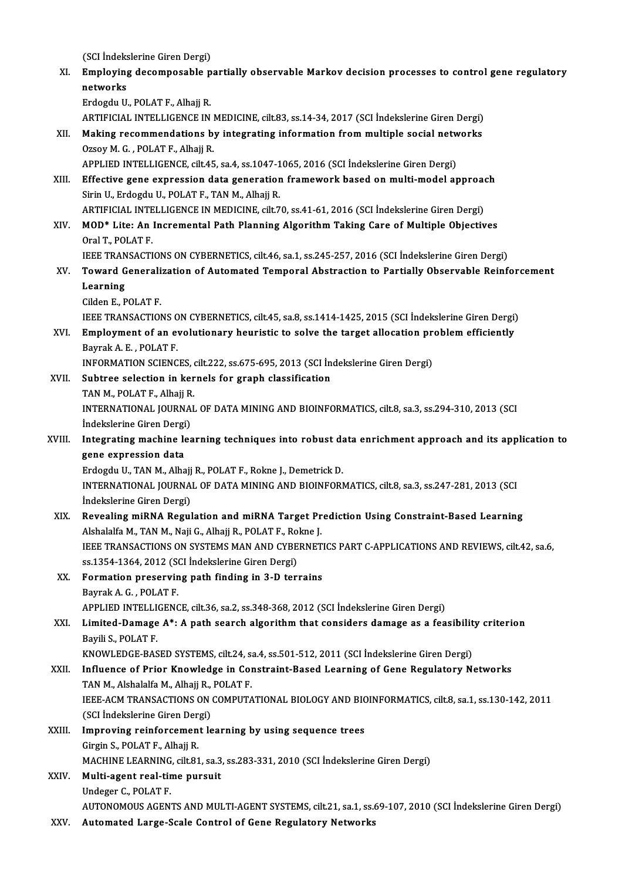- (SCI İndekslerine Giren Dergi)<br>Employing desemnesabla p (SCI İndekslerine Giren Dergi)<br>XI. Employing decomposable partially observable Markov decision processes to control gene regulatory<br>Returerks (SCI İndeks<br>**Employin;**<br>networks<br>Endogdu U Employing decomposable p<br>networks<br>Erdogdu U., POLAT F., Alhajj R.<br>APTIEICIAL INTELLICENCE IN networks<br>Erdogdu U., POLAT F., Alhajj R.<br>ARTIFICIAL INTELLIGENCE IN MEDICINE, cilt.83, ss.14-34, 2017 (SCI İndekslerine Giren Dergi)<br>Making resommendations by integrating information from multiple social networks Erdogdu U., POLAT F., Alhajj R.<br>ARTIFICIAL INTELLIGENCE IN MEDICINE, cilt.83, ss.14-34, 2017 (SCI Indekslerine Giren Dergi)<br>XII. Making recommendations by integrating information from multiple social networks<br>OTSOV M. G., ARTIFICIAL INTELLIGENCE IN I<br>Making recommendations b<br>Ozsoy M. G. , POLAT F., Alhajj R.<br>APPLED INTELLICENCE cilt 45 Making recommendations by integrating information from multiple social networds.<br>Ozsoy M. G. , POLAT F., Alhajj R.<br>APPLIED INTELLIGENCE, cilt.45, sa.4, ss.1047-1065, 2016 (SCI İndekslerine Giren Dergi)<br>Effective gane expre 0zsoy M. G. , POLAT F., Alhajj R.<br>APPLIED INTELLIGENCE, cilt.45, sa.4, ss.1047-1065, 2016 (SCI Indekslerine Giren Dergi)<br>XIII. Effective gene expression data generation framework based on multi-model approach Sirin U., Erdogdu U., POLAT F., TAN M., Alhajj R. Effective gene expression data generation framework based on multi-model approach<br>Sirin U., Erdogdu U., POLAT F., TAN M., Alhajj R.<br>ARTIFICIAL INTELLIGENCE IN MEDICINE, cilt.70, ss.41-61, 2016 (SCI İndekslerine Giren Dergi XIV. MOD\* Lite: An Incremental Path Planning Algorithm Taking Care of Multiple Objectives<br>Oral T., POLAT F. ARTIFICIAL INTE<br>MOD\* Lite: An<br>Oral T., POLAT F.<br>JEEE TRANSACTI MOD\* Lite: An Incremental Path Planning Algorithm Taking Care of Multiple Objectives<br>Oral T., POLAT F.<br>IEEE TRANSACTIONS ON CYBERNETICS, cilt.46, sa.1, ss.245-257, 2016 (SCI İndekslerine Giren Dergi)<br>Toward Conoralization Oral T., POLAT F.<br>IEEE TRANSACTIONS ON CYBERNETICS, cilt.46, sa.1, ss.245-257, 2016 (SCI İndekslerine Giren Dergi)<br>XV. Toward Generalization of Automated Temporal Abstraction to Partially Observable Reinforcement<br>Learn **IEEE TRAN<br>Toward G<br>Learning<br>Gilden E. B Toward Generali<br>Learning<br>Cilden E., POLAT F.<br>IEEE TRANSACTIOI** Learning<br>Cilden E., POLAT F.<br>IEEE TRANSACTIONS ON CYBERNETICS, cilt.45, sa.8, ss.1414-1425, 2015 (SCI İndekslerine Giren Dergi) Cilden E., POLAT F.<br>IEEE TRANSACTIONS ON CYBERNETICS, cilt.45, sa.8, ss.1414-1425, 2015 (SCI Indekslerine Giren Dergi)<br>XVI. Employment of an evolutionary heuristic to solve the target allocation problem efficiently<br>Raymak **IEEE TRANSACTIONS OF**<br>**Employment of an example of the Bayrak A. E. , POLAT F.<br>INFORMATION SCIENC** Employment of an evolutionary heuristic to solve the target allocation pro<br>Bayrak A. E. , POLAT F.<br>INFORMATION SCIENCES, cilt.222, ss.675-695, 2013 (SCI İndekslerine Giren Dergi)<br>Subtree selection in kernels for graph eles Bayrak A. E. , POLAT F.<br>INFORMATION SCIENCES, cilt.222, ss.675-695, 2013 (SCI Indekslerine Giren Dergi)<br>XVII. Subtree selection in kernels for graph classification INFORMATION SCIENCES, <br>Subtree selection in ker<br>TAN M., POLAT F., Alhajj R.<br>INTERNATIONAL JOURNAL INTERNATIONAL JOURNAL OF DATA MINING AND BIOINFORMATICS, cilt.8, sa.3, ss.294-310, 2013 (SCI Indekslerine Giren Dergi) TAN M., POLAT F., Alhajj R<br>INTERNATIONAL JOURNA<br>İndekslerine Giren Dergi)<br>Integrating machine les INTERNATIONAL JOURNAL OF DATA MINING AND BIOINFORMATICS, cilt.8, sa.3, ss.294-310, 2013 (SCI<br>Indekslerine Giren Dergi)<br>XVIII. Integrating machine learning techniques into robust data enrichment approach and its application Indekslerine Giren Dergi<br>Integrating machine le<br>gene expression data<br>Erdegdu H. TANM, Alba Integrating machine learning techniques into robust danno<br>gene expression data<br>Erdogdu U., TAN M., Alhajj R., POLAT F., Rokne J., Demetrick D.<br>INTERNATIONAL JOURNAL OF RATA MINING AND RIOINEORI gene expression data<br>Erdogdu U., TAN M., Alhajj R., POLAT F., Rokne J., Demetrick D.<br>INTERNATIONAL JOURNAL OF DATA MINING AND BIOINFORMATICS, cilt.8, sa.3, ss.247-281, 2013 (SCI<br>Indekslerine Ciren Dergi) Erdogdu U., TAN M., Alhajj<br>INTERNATIONAL JOURNA<br>İndekslerine Giren Dergi)<br>Boycaling miBNA Bogul INTERNATIONAL JOURNAL OF DATA MINING AND BIOINFORMATICS, cilt.8, sa.3, ss.247-281, 2013 (SCI<br>Indekslerine Giren Dergi)<br>XIX. Revealing miRNA Regulation and miRNA Target Prediction Using Constraint-Based Learning<br>Alabalalfa İndekslerine Giren Dergi)<br>Revealing miRNA Regulation and miRNA Target Pr<br>Alshalalfa M., TAN M., Naji G., Alhajj R., POLAT F., Rokne J.<br>JEEE TRANSACTIONS ON SYSTEMS MAN AND CYPERNET Revealing miRNA Regulation and miRNA Target Prediction Using Constraint-Based Learning<br>Alshalalfa M., TAN M., Naji G., Alhajj R., POLAT F., Rokne J.<br>IEEE TRANSACTIONS ON SYSTEMS MAN AND CYBERNETICS PART C-APPLICATIONS AND Alshalalfa M., TAN M., Naji G., Alhajj R., POLAT F., Ro<br>IEEE TRANSACTIONS ON SYSTEMS MAN AND CYBE<br>ss.1354-1364, 2012 (SCI İndekslerine Giren Dergi)<br>Formation presequing path finding in 3. D teri IEEE TRANSACTIONS ON SYSTEMS MAN AND CYBERNET<br>ss.1354-1364, 2012 (SCI Indekslerine Giren Dergi)<br>XX. Formation preserving path finding in 3-D terrains<br>Paymak A G. POLATE SS.1354-1364, 2012 (SC)<br>Formation preservin<br>Bayrak A. G. , POLAT F.<br>APPLED INTELLICENC Bayrak A. G. , POLAT F.<br>APPLIED INTELLIGENCE, cilt.36, sa.2, ss.348-368, 2012 (SCI İndekslerine Giren Dergi) Bayrak A. G. , POLAT F.<br>APPLIED INTELLIGENCE, cilt.36, sa.2, ss.348-368, 2012 (SCI Indekslerine Giren Dergi)<br>XXI. Limited-Damage A\*: A path search algorithm that considers damage as a feasibility criterion<br>Ravili S. RO APPLIED INTELLI<br>Limit<mark>ed-Damage</mark><br>Bayili S., POLAT F.<br>KNOWLEDCE RAS Limited-Damage A\*: A path search algorithm that considers damage as a feasibilit<br>Bayili S., POLAT F.<br>KNOWLEDGE-BASED SYSTEMS, cilt.24, sa.4, ss.501-512, 2011 (SCI İndekslerine Giren Dergi)<br>Influence of Prior Knowledge in C Bayili S., POLAT F.<br>KNOWLEDGE-BASED SYSTEMS, cilt.24, sa.4, ss.501-512, 2011 (SCI İndekslerine Giren Dergi)<br>XXII. Influence of Prior Knowledge in Constraint-Based Learning of Gene Regulatory Networks<br>TAN M. Alsbalato M. Al KNOWLEDGE-BASED SYSTEMS, cilt.24, s.<br>Influence of Prior Knowledge in Col<br>TAN M., Alshalalfa M., Alhajj R., POLAT F.<br>JEEE ACM TRANSACTIONS ON COMBUTA IEEE-ACM TRANSACTIONS ON COMPUTATIONAL BIOLOGY AND BIOINFORMATICS, cilt.8, sa.1, ss.130-142, 2011<br>(SCI Indekslerine Giren Dergi) TAN M., Alshalalfa M., Alhajj R., POLAT F. IEEE-ACM TRANSACTIONS ON COMPUTATIONAL BIOLOGY AND BIC<br>(SCI Indekslerine Giren Dergi)<br>XXIII. Improving reinforcement learning by using sequence trees (SCI İndekslerine Giren Der<br>Improving reinforcemen<br>Girgin S., POLAT F., Alhajj R.<br>MACHINE LEAPNING silt 81 Girgin S., POLAT F., Alhajj R.<br>MACHINE LEARNING, cilt.81, sa.3, ss.283-331, 2010 (SCI İndekslerine Giren Dergi) Girgin S., POLAT F., Alhajj R.<br>MACHINE LEARNING, cilt.81, sa.3<br>XXIV. Multi-agent real-time pursuit MACHINE LEARNING<br>Multi-agent real-tir<br>Undeger C., POLAT F.<br>AUTONOMOUS ACENT Undeger C., POLAT F.<br>AUTONOMOUS AGENTS AND MULTI-AGENT SYSTEMS, cilt.21, sa.1, ss.69-107, 2010 (SCI İndekslerine Giren Dergi)
- XXV. Automated Large-Scale Control of Gene Regulatory Networks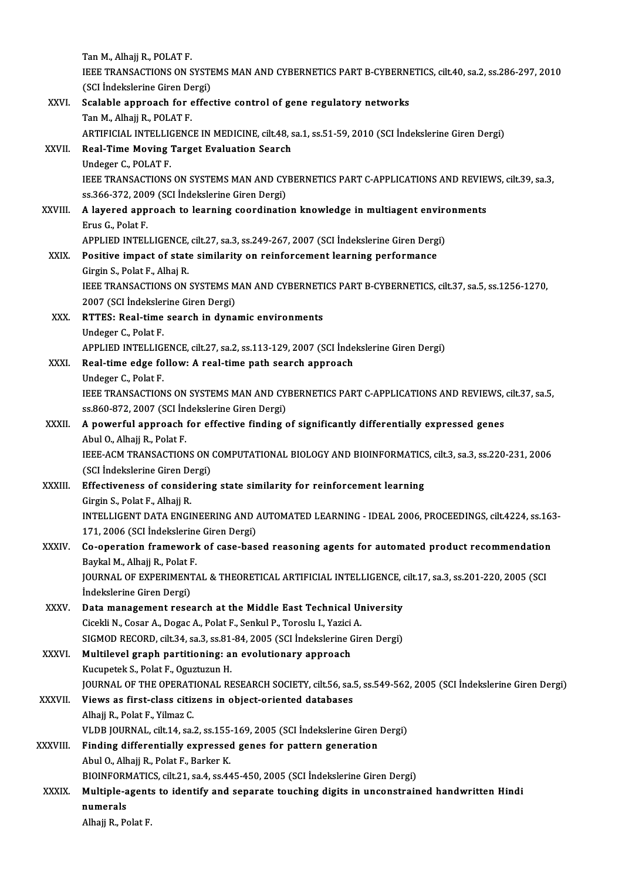|                | Tan M., Alhajj R., POLAT F.                                                                                                  |
|----------------|------------------------------------------------------------------------------------------------------------------------------|
|                | IEEE TRANSACTIONS ON SYSTEMS MAN AND CYBERNETICS PART B-CYBERNETICS, cilt.40, sa.2, ss.286-297, 2010                         |
|                | (SCI İndekslerine Giren Dergi)                                                                                               |
| XXVI.          | Scalable approach for effective control of gene regulatory networks                                                          |
|                | Tan M., Alhajj R., POLAT F.                                                                                                  |
|                | ARTIFICIAL INTELLIGENCE IN MEDICINE, cilt.48, sa.1, ss.51-59, 2010 (SCI Indekslerine Giren Dergi)                            |
| XXVII.         | Real-Time Moving Target Evaluation Search                                                                                    |
|                | Undeger C, POLAT F.                                                                                                          |
|                | IEEE TRANSACTIONS ON SYSTEMS MAN AND CYBERNETICS PART C-APPLICATIONS AND REVIEWS, cilt.39, sa.3,                             |
| XXVIII.        | ss.366-372, 2009 (SCI İndekslerine Giren Dergi)                                                                              |
|                | A layered approach to learning coordination knowledge in multiagent environments<br>Erus G., Polat F.                        |
|                | APPLIED INTELLIGENCE, cilt.27, sa.3, ss.249-267, 2007 (SCI Indekslerine Giren Dergi)                                         |
| XXIX.          | Positive impact of state similarity on reinforcement learning performance                                                    |
|                | Girgin S, Polat F, Alhaj R.                                                                                                  |
|                | IEEE TRANSACTIONS ON SYSTEMS MAN AND CYBERNETICS PART B-CYBERNETICS, cilt.37, sa.5, ss.1256-1270,                            |
|                | 2007 (SCI İndekslerine Giren Dergi)                                                                                          |
| XXX.           | RTTES: Real-time search in dynamic environments                                                                              |
|                | Undeger C, Polat F                                                                                                           |
|                | APPLIED INTELLIGENCE, cilt.27, sa.2, ss.113-129, 2007 (SCI Indekslerine Giren Dergi)                                         |
| XXXI.          | Real-time edge follow: A real-time path search approach                                                                      |
|                | Undeger C., Polat F.<br>IEEE TRANSACTIONS ON SYSTEMS MAN AND CYBERNETICS PART C-APPLICATIONS AND REVIEWS, cilt.37, sa.5,     |
|                | ss.860-872, 2007 (SCI İndekslerine Giren Dergi)                                                                              |
| <b>XXXII</b>   | A powerful approach for effective finding of significantly differentially expressed genes                                    |
|                | Abul O, Alhajj R, Polat F.                                                                                                   |
|                | IEEE-ACM TRANSACTIONS ON COMPUTATIONAL BIOLOGY AND BIOINFORMATICS, cilt.3, sa.3, ss.220-231, 2006                            |
|                | (SCI İndekslerine Giren Dergi)                                                                                               |
| <b>XXXIII.</b> | Effectiveness of considering state similarity for reinforcement learning                                                     |
|                | Girgin S., Polat F., Alhajj R.                                                                                               |
|                | INTELLIGENT DATA ENGINEERING AND AUTOMATED LEARNING - IDEAL 2006, PROCEEDINGS, cilt.4224, ss.163-                            |
|                | 171, 2006 (SCI İndekslerine Giren Dergi)                                                                                     |
| XXXIV.         | Co-operation framework of case-based reasoning agents for automated product recommendation<br>Baykal M., Alhajj R., Polat F. |
|                | JOURNAL OF EXPERIMENTAL & THEORETICAL ARTIFICIAL INTELLIGENCE, cilt.17, sa.3, ss.201-220, 2005 (SCI                          |
|                | İndekslerine Giren Dergi)                                                                                                    |
| XXXV.          | Data management research at the Middle East Technical University                                                             |
|                | Cicekli N., Cosar A., Dogac A., Polat F., Senkul P., Toroslu I., Yazici A.                                                   |
|                | SIGMOD RECORD, cilt.34, sa.3, ss.81-84, 2005 (SCI İndekslerine Giren Dergi)                                                  |
| <b>XXXVI</b>   | Multilevel graph partitioning: an evolutionary approach                                                                      |
|                | Kucupetek S., Polat F., Oguztuzun H.                                                                                         |
|                | JOURNAL OF THE OPERATIONAL RESEARCH SOCIETY, cilt.56, sa.5, ss.549-562, 2005 (SCI İndekslerine Giren Dergi)                  |
| <b>XXXVII</b>  | Views as first-class citizens in object-oriented databases                                                                   |
|                | Alhajj R., Polat F., Yilmaz C.<br>VLDB JOURNAL, cilt.14, sa.2, ss.155-169, 2005 (SCI Indekslerine Giren Dergi)               |
| XXXVIII.       | Finding differentially expressed genes for pattern generation                                                                |
|                | Abul O., Alhajj R., Polat F., Barker K.                                                                                      |
|                | BIOINFORMATICS, cilt.21, sa.4, ss.445-450, 2005 (SCI Indekslerine Giren Dergi)                                               |
| <b>XXXIX</b>   | Multiple-agents to identify and separate touching digits in unconstrained handwritten Hindi                                  |
|                | numerals                                                                                                                     |
|                | Alhajj R., Polat F.                                                                                                          |
|                |                                                                                                                              |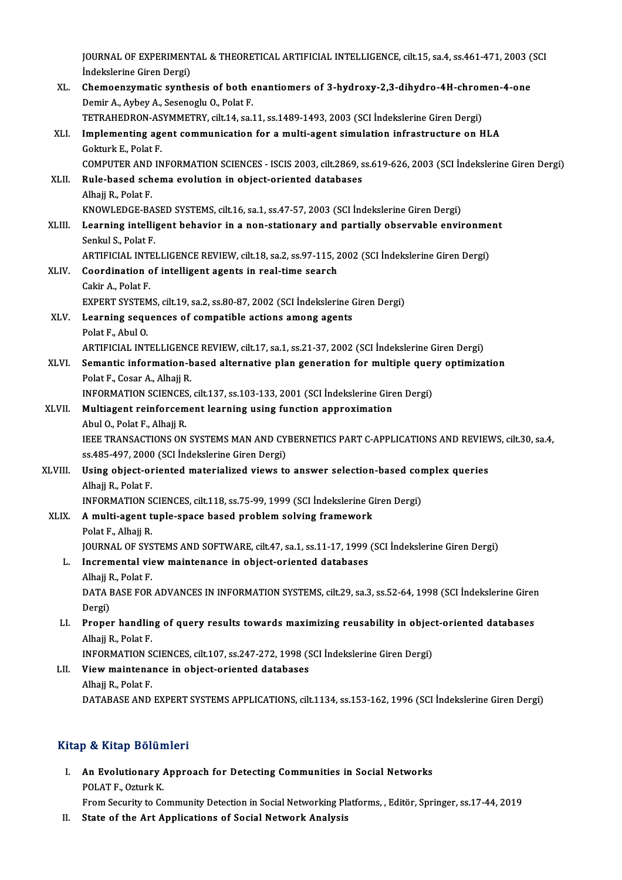JOURNAL OF EXPERIMENTAL & THEORETICAL ARTIFICIAL INTELLIGENCE, cilt.15, sa.4, ss.461-471, 2003 (SCI<br>Indekslerine Cirer Dergi) **JOURNAL OF EXPERIMENT**<br>İndekslerine Giren Dergi)<br>Chemoengumatie sunth JOURNAL OF EXPERIMENTAL & THEORETICAL ARTIFICIAL INTELLIGENCE, cilt.15, sa.4, ss.461-471, 2003 (<br>indekslerine Giren Dergi)<br>XL. Chemoenzymatic synthesis of both enantiomers of 3-hydroxy-2,3-dihydro-4H-chromen-4-one<br>Demin A Indekslerine Giren Dergi)<br>XL. Chemoenzymatic synthesis of both enantiomers of 3-hydroxy-2,3-dihydro-4H-chromen-4-one<br>Demir A., Aybey A., Sesenoglu O., Polat F. Chemoenzymatic synthesis of both enantiomers of 3-hydroxy-2,3-dihydro-4H-chron<br>Demir A., Aybey A., Sesenoglu O., Polat F.<br>TETRAHEDRON-ASYMMETRY, cilt.14, sa.11, ss.1489-1493, 2003 (SCI İndekslerine Giren Dergi)<br>Implementin XLI. Implementing agent communication for a multi-agent simulation infrastructure on HLA<br>Gokturk E., Polat F. TETRAHEDRON-AS<br>Implementing age<br>Gokturk E., Polat F.<br>COMBUTER AND IN COMPUTERANDINFORMATIONSCIENCES - ISCIS2003, cilt.2869, ss.619-626,2003 (SCI İndekslerineGirenDergi) XLII. Rule-based schema evolution in object-oriented databases Alhajj R., Polat F. Rule-based schema evolution in object-oriented databases<br>Alhajj R., Polat F.<br>KNOWLEDGE-BASED SYSTEMS, cilt.16, sa.1, ss.47-57, 2003 (SCI İndekslerine Giren Dergi)<br>Learning intelligent behavior in a non stationary and parti XLIII. Learning intelligent behavior in a non-stationary and partially observable environment<br>Senkul S., Polat F. KNOWLEDGE-BA:<br>Learning intelli<sub>;</sub><br>Senkul S., Polat F.<br>ARTIEICIAL INTE Learning intelligent behavior in a non-stationary and partially observable environme<br>Senkul S., Polat F.<br>ARTIFICIAL INTELLIGENCE REVIEW, cilt.18, sa.2, ss.97-115, 2002 (SCI İndekslerine Giren Dergi)<br>Coordination of intelli XLIV. Coordination of intelligent agents in real-time search<br>Cakir A., Polat F. **ARTIFICIAL INTI<br>Coordination c<br>Cakir A., Polat F.<br>EXPEPT SVSTEM** Coordination of intelligent agents in real-time search<br>Cakir A., Polat F.<br>EXPERT SYSTEMS, cilt.19, sa.2, ss.80-87, 2002 (SCI İndekslerine Giren Dergi)<br>Learning sequences of semnatible astions among agents XLV. Learning sequences of compatible actions among agents EXPERT SYSTEN<br>Learning sequ<br>Polat F., Abul O.<br>APTIEICIAL INT Learning sequences of compatible actions among agents<br>Polat F., Abul O.<br>ARTIFICIAL INTELLIGENCE REVIEW, cilt.17, sa.1, ss.21-37, 2002 (SCI İndekslerine Giren Dergi)<br>Semantia information based alternative plan generation fo Polat F., Abul O.<br>ARTIFICIAL INTELLIGENCE REVIEW, cilt.17, sa.1, ss.21-37, 2002 (SCI Indekslerine Giren Dergi)<br>XLVI. Semantic information-based alternative plan generation for multiple query optimization<br>Polat E. Cosor A. ARTIFICIAL INTELLIGENC<br>Semantic information-b<br>Polat F., Cosar A., Alhajj R.<br>INFOPMATION SCIENCES Semantic information-based alternative plan generation for multiple quer<br>Polat F., Cosar A., Alhajj R.<br>INFORMATION SCIENCES, cilt.137, ss.103-133, 2001 (SCI İndekslerine Giren Dergi)<br>Multiagent reinforcement learning using Polat F., Cosar A., Alhajj R.<br>INFORMATION SCIENCES, cilt.137, ss.103-133, 2001 (SCI İndekslerine Gir<br>XLVII. Multiagent reinforcement learning using function approximation<br>Abul O., Polat F., Alhajj R. **INFORMATION SCIENCES<br>Multiagent reinforcem<br>Abul O., Polat F., Alhajj R.<br>IEEE TRANSACTIONS ON** Multiagent reinforcement learning using function approximation<br>Abul O., Polat F., Alhajj R.<br>IEEE TRANSACTIONS ON SYSTEMS MAN AND CYBERNETICS PART C-APPLICATIONS AND REVIEWS, cilt.30, sa.4,<br>88.485.497.2000 (SSL Indekslavine Abul O., Polat F., Alhajj R.<br>IEEE TRANSACTIONS ON SYSTEMS MAN AND CY<br>ss.485-497, 2000 (SCI İndekslerine Giren Dergi)<br>Heing object oriented materialized views to IEEE TRANSACTIONS ON SYSTEMS MAN AND CYBERNETICS PART C-APPLICATIONS AND REVIEN<br>ss.485-497, 2000 (SCI Indekslerine Giren Dergi)<br>XLVIII. Using object-oriented materialized views to answer selection-based complex queries<br>Alb ss.485-497, 2000 (SCI İndekslerine Giren Dergi)<br>Using object-oriented materialized views to<br>Alhajj R., Polat F. Using object-oriented materialized views to answer selection-based complex queries XLIX. A multi-agent tuple-space based problem solving framework<br>Polat F., Alhajj R. INFORMATION SCIENCES, cilt.118, ss.75-99, 1999 (SCI İndekslerine Giren Dergi) A multi-agent tuple-space based problem solving framework<br>Polat F., Alhajj R.<br>JOURNAL OF SYSTEMS AND SOFTWARE, cilt.47, sa.1, ss.11-17, 1999 (SCI İndekslerine Giren Dergi)<br>Inerementel view maintenanee in object oriented de Polat F., Alhajj R.<br>JOURNAL OF SYSTEMS AND SOFTWARE, cilt.47, sa.1, ss.11-17, 1999<br>L. Incremental view maintenance in object-oriented databases<br>Albajj B. Polat F. **JOURNAL OF SYS<br>Incremental vie<br>Alhajj R., Polat F.<br>DATA BASE FOR** L. Incremental view maintenance in object-oriented databases<br>Alhajj R., Polat F.<br>DATA BASE FOR ADVANCES IN INFORMATION SYSTEMS, cilt.29, sa.3, ss.52-64, 1998 (SCI İndekslerine Giren<br>Dergi) Alhajj R., Polat F. DATA BASE FOR ADVANCES IN INFORMATION SYSTEMS, cilt.29, sa.3, ss.52-64, 1998 (SCI İndekslerine Girer<br>Dergi)<br>LI. Proper handling of query results towards maximizing reusability in object-oriented databases<br>Albaji B. Polat F Dergi)<br><mark>Proper handlin</mark><br>Alhajj R., Polat F.<br>INEOPMATION S Proper handling of query results towards maximizing reusability in objec<br>Alhajj R., Polat F.<br>INFORMATION SCIENCES, cilt.107, ss.247-272, 1998 (SCI İndekslerine Giren Dergi)<br>View maintenange in object oriented databases Alhajj R., Polat F.<br>INFORMATION SCIENCES, cilt.107, ss.247-272, 1998 (S.<br>LII. View maintenance in object-oriented databases INFORMATION S<br><mark>View maintena</mark><br>Alhajj R., Polat F.<br>DATARASE AND Alhajj R., Polat F.<br>DATABASE AND EXPERT SYSTEMS APPLICATIONS, cilt.1134, ss.153-162, 1996 (SCI İndekslerine Giren Dergi)

#### Kitap & Kitap Bölümleri

- Itap & Kitap Bölümleri<br>I. An Evolutionary Approach for Detecting Communities in Social Networks<br>POLATE Otturk K Polatical Bolding<br>An Evolutionary<br>POLAT F., Ozturk K. POLAT F., Ozturk K.<br>From Security to Community Detection in Social Networking Platforms, , Editör, Springer, ss.17-44, 2019
- II. State of the Art Applications of Social Network Analysis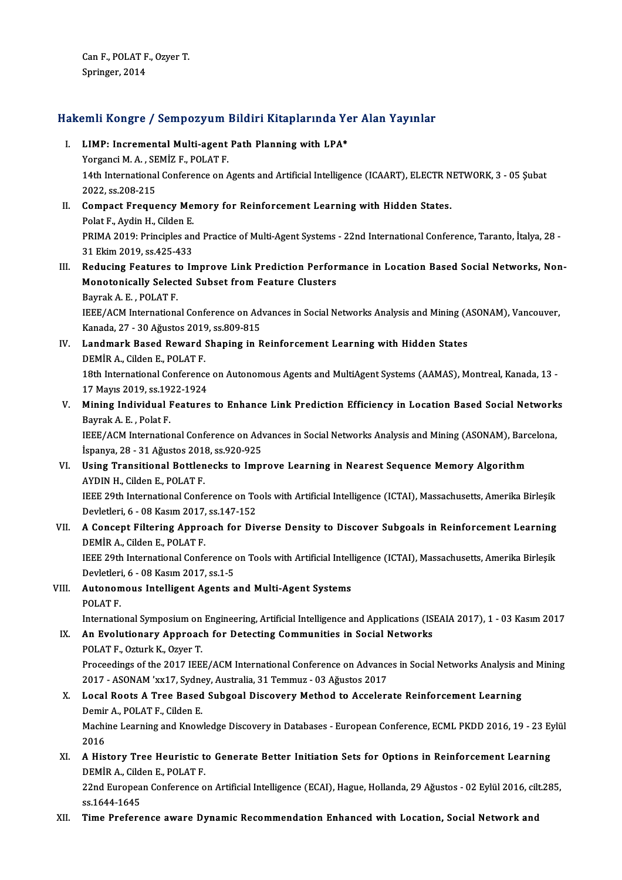Can F., POLAT F., Ozyer T.<br>Springer, 2014 Can F., POLAT F<br>Springer, 2014

# springer, 2014<br>Hakemli Kongre / Sempozyum Bildiri Kitaplarında Yer Alan Yayınlar

- akemli Kongre / Sempozyum Bildiri Kitaplarında Ye<br>I. LIMP: Incremental Multi-agent Path Planning with LPA\* I. LIMP: Incremental Multi-agent Path Planning with LPA\* 14th International Conference on Agents and Artificial Intelligence (ICAART), ELECTR NETWORK, 3 - 05 Şubat 2022, ss,208-215 Yorganci M. A., SEMİZ F., POLAT F. 14th International Conference on Agents and Artificial Intelligence (ICAART), ELECTR N<br>2022, ss.208-215<br>II. Compact Frequency Memory for Reinforcement Learning with Hidden States.<br>Polat E. Ardin H. Gilden E
- 2022, ss.208-215<br>**Compact Frequency Me**:<br>Polat F., Aydin H., Cilden E.<br>PRIMA 2010: Principles ap Compact Frequency Memory for Reinforcement Learning with Hidden States.<br>Polat F., Aydin H., Cilden E.<br>PRIMA 2019: Principles and Practice of Multi-Agent Systems - 22nd International Conference, Taranto, İtalya, 28 -<br>21 Ehi Polat F., Aydin H., Cilden E.<br>PRIMA 2019: Principles an<br>31 Ekim 2019, ss.425-433<br>Podusing Features to In PRIMA 2019: Principles and Practice of Multi-Agent Systems - 22nd International Conference, Taranto, İtalya, 28 -<br>31 Ekim 2019, ss.425-433<br>III. Reducing Features to Improve Link Prediction Performance in Location Based Soc
- 31 Ekim 2019, ss.425-433<br>Reducing Features to Improve Link Prediction Perfor<br>Monotonically Selected Subset from Feature Clusters<br>Raymak A. E., POLATE Reducing Features<br>Monotonically Select<br>Bayrak A.E., POLAT F.<br>IEEE/ACM Internations Monotonically Selected Subset from Feature Clusters<br>Bayrak A. E. , POLAT F.<br>IEEE/ACM International Conference on Advances in Social Networks Analysis and Mining (ASONAM), Vancouver,<br>Kanada 27, 20 Ažustes 2019, ss 800 815

Bayrak A. E. , POLAT F.<br>IEEE/ACM International Conference on Ad<br>Kanada, 27 - 30 Ağustos 2019, ss.809-815<br>Landmark Based Baward Shaning in B IEEE/ACM International Conference on Advances in Social Networks Analysis and Mining (A<br>Kanada, 27 - 30 Ağustos 2019, ss.809-815<br>IV. Landmark Based Reward Shaping in Reinforcement Learning with Hidden States<br>DEMIRA Gilden

### Kanada, 27 - 30 Ağustos 2019<br>Landmark Based Reward :<br>DEMİR A., Cilden E., POLAT F.<br>19th International Conference Landmark Based Reward Shaping in Reinforcement Learning with Hidden States<br>DEMİR A., Cilden E., POLAT F.<br>18th International Conference on Autonomous Agents and MultiAgent Systems (AAMAS), Montreal, Kanada, 13 -<br>17 Mayıs 20 DEMİR A., Cilden E., POLAT F.<br>18th International Conference on Autonomous Agents and MultiAgent Systems (AAMAS), Montreal, Kanada, 13 -<br>17 Mayıs 2019, ss.1922-1924

### 18th International Conference on Autonomous Agents and MultiAgent Systems (AAMAS), Montreal, Kanada, 13 -<br>17 Mayıs 2019, ss.1922-1924<br>V. Mining Individual Features to Enhance Link Prediction Efficiency in Location Based So 17 Mayıs 2019, ss.19.<br>**Mining Individual I**<br>Bayrak A. E. , Polat F.<br>JEEE (ACM Internatio Mining Individual Features to Enhance Link Prediction Efficiency in Location Based Social Network<br>Bayrak A. E. , Polat F.<br>IEEE/ACM International Conference on Advances in Social Networks Analysis and Mining (ASONAM), Barce

Bayrak A. E. , Polat F.<br>IEEE/ACM International Conference on Adv<br>İspanya, 28 - 31 Ağustos 2018, ss.920-925<br>Heing Transitional Bettlenecks to Impu IEEE/ACM International Conference on Advances in Social Networks Analysis and Mining (ASONAM), Bard<br>Ispanya, 28 - 31 Ağustos 2018, ss.920-925<br>VI. Using Transitional Bottlenecks to Improve Learning in Nearest Sequence Memor

- İspanya, 28 31 Ağustos 2018, ss.920-925<br>VI. Using Transitional Bottlenecks to Improve Learning in Nearest Sequence Memory Algorithm<br>AYDIN H., Cilden E., POLAT F. Using Transitional Bottlenecks to Improve Learning in Nearest Sequence Memory Algorithm<br>AYDIN H., Cilden E., POLAT F.<br>IEEE 29th International Conference on Tools with Artificial Intelligence (ICTAI), Massachusetts, Amerika AYDIN H., Cilden E., POLAT F.<br>IEEE 29th International Conference on To<br>Devletleri, 6 - 08 Kasım 2017, ss.147-152<br>A Consent Eiltering Annreach for Div
- IEEE 29th International Conference on Tools with Artificial Intelligence (ICTAI), Massachusetts, Amerika Birleşik<br>Devletleri, 6 08 Kasım 2017, ss.147-152<br>VII. A Concept Filtering Approach for Diverse Density to Discover Devletleri, 6 - 08 Kasım 2017, ss.147-152<br>VII. A Concept Filtering Approach for Diverse Density to Discover Subgoals in Reinforcement Learning<br>DEMİR A., Cilden E., POLAT F. A Concept Filtering Approach for Diverse Density to Discover Subgoals in Reinforcement Learning<br>DEMİR A., Cilden E., POLAT F.<br>IEEE 29th International Conference on Tools with Artificial Intelligence (ICTAI), Massachusetts,

DEMİR A., Cilden E., POLAT F.<br>IEEE 29th International Conference<br>Devletleri, 6 - 08 Kasım 2017, ss.1-5<br>Autonomous Intelligent Agents s IEEE 29th International Conference on Tools with Artificial Intell<br>Devletleri, 6 - 08 Kasım 2017, ss.1-5<br>VIII. Autonomous Intelligent Agents and Multi-Agent Systems<br>POLATE

Devletleri<br>**Autonom**<br>POLAT F.<br>Internatio

POLAT F.<br>International Symposium on Engineering, Artificial Intelligence and Applications (ISEAIA 2017), 1 - 03 Kasım 2017 International Symposium on<br>An Evolutionary Approac<br>POLAT F., Ozturk K., Ozyer T.<br>Proceedings of the 2017 IEE

## POLAT F.<br>International Symposium on Engineering, Artificial Intelligence and Applications (IS<br>IX. An Evolutionary Approach for Detecting Communities in Social Networks<br>POLATE, OTURK COURT T

An Evolutionary Approach for Detecting Communities in Social Networks<br>POLAT F., Ozturk K., Ozyer T.<br>Proceedings of the 2017 IEEE/ACM International Conference on Advances in Social Networks Analysis and Mining<br>2017 - ASONAM POLAT F., Ozturk K., Ozyer T.<br>Proceedings of the 2017 IEEE/ACM International Conference on Advance<br>2017 - ASONAM 'xx17, Sydney, Australia, 31 Temmuz - 03 Ağustos 2017<br>Logal Boots A Tree Bosed Subseal Disseyery Method to As Proceedings of the 2017 IEEE/ACM International Conference on Advances in Social Networks Analysis and 2017 - ASONAM 'xx17, Sydney, Australia, 31 Temmuz - 03 Ağustos 2017<br>X. Local Roots A Tree Based Subgoal Discovery Method

## 2017 - ASONAM 'xx17, Sydne<br>Local Roots A Tree Based<br>Demir A., POLAT F., Cilden E.<br>Machine Learning and Know Local Roots A Tree Based Subgoal Discovery Method to Accelerate Reinforcement Learning<br>Demir A., POLAT F., Cilden E.<br>Machine Learning and Knowledge Discovery in Databases - European Conference, ECML PKDD 2016, 19 - 23 Eylü

Demir<br>Machi<br>2016 Machine Learning and Knowledge Discovery in Databases - European Conference, ECML PKDD 2016, 19 - 23 Ey<br>2016<br>XI. A History Tree Heuristic to Generate Better Initiation Sets for Options in Reinforcement Learning<br>DEMIRA, Gil

2016<br>XI. A History Tree Heuristic to Generate Better Initiation Sets for Options in Reinforcement Learning DEMIR A., Cilden E., POLAT F.

22nd European Conference on Artificial Intelligence (ECAI), Hague, Hollanda, 29 Ağustos - 02 Eylül 2016, cilt.285, ss.1644-1645

#### XII. Time Preference aware Dynamic Recommendation Enhanced with Location, Social Network and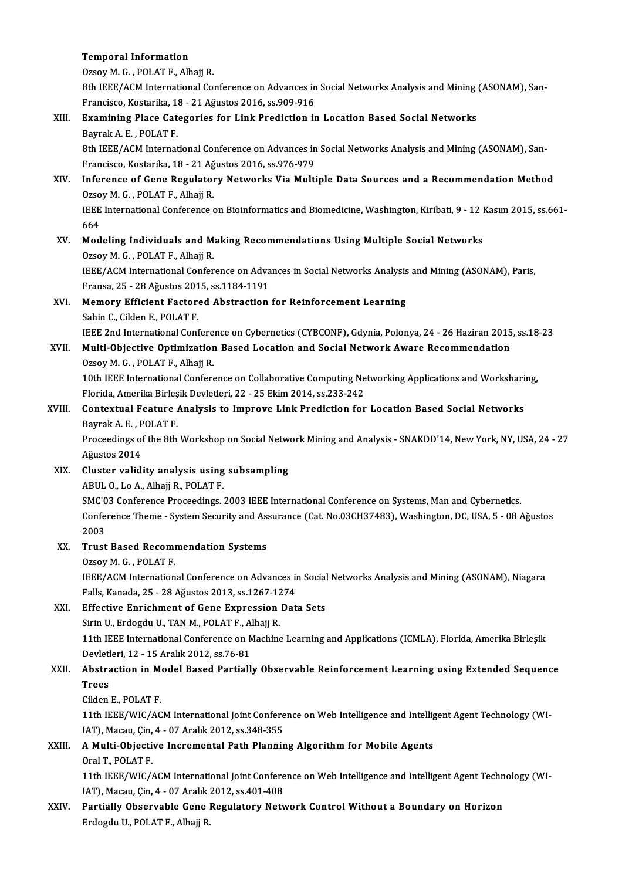#### Temporal Information

Ozsoy M. G., POLAT F., Alhajj R.

8th IEEE/ACM International Conference on Advances in Social Networks Analysis and Mining (ASONAM), San-Ozsoy M. G. , POLAT F., Alhajj R.<br>8th IEEE/ACM International Conference on Advances in<br>Francisco, Kostarika, 18 - 21 Ağustos 2016, ss.909-916<br>Evamining Blase Categories for Link Prodistion in

### XIII. Examining Place Categories for Link Prediction in Location Based Social Networks<br>Bayrak A. E., POLAT F. Francisco, Kostarika, 1:<br>**Examining Place Cat**<br>Bayrak A. E. , POLAT F.<br>9th IEEE (ACM Internat Examining Place Categories for Link Prediction in Location Based Social Networks<br>Bayrak A. E. , POLAT F.<br>8th IEEE/ACM International Conference on Advances in Social Networks Analysis and Mining (ASONAM), San-<br>Francisco Kos

Bayrak A. E. , POLAT F.<br>8th IEEE/ACM International Conference on Advances in<br>Francisco, Kostarika, 18 - 21 Ağustos 2016, ss.976-979<br>Inference of Cano Bogulatory Networks Via Multi 8th IEEE/ACM International Conference on Advances in Social Networks Analysis and Mining (ASONAM), San-<br>Francisco, Kostarika, 18 - 21 Ağustos 2016, ss.976-979<br>XIV. Inference of Gene Regulatory Networks Via Multiple Data So

## Francisco, Kostarika, 18 - 21 Ağ<br>Inference of Gene Regulator<br>Ozsoy M. G. , POLAT F., Alhajj R.<br><sup>IEEE</sup> International Conference e Inference of Gene Regulatory Networks Via Multiple Data Sources and a Recommendation Method<br>Ozsoy M. G. , POLAT F., Alhajj R.<br>IEEE International Conference on Bioinformatics and Biomedicine, Washington, Kiribati, 9 - 12 Ka

Ozsoy M. G. , POLAT F., Alhajj R.<br>IEEE International Conference on Bioinformatics and Biomedicine, Washington, Kiribati, 9 - 12 Kasım 2015, ss.661-<br>664

### XV. Modeling Individuals and Making Recommendations Using Multiple Social Networks Ozsoy M. G., POLAT F., Alhajj R. Modeling Individuals and Making Recommendations Using Multiple Social Networks<br>Ozsoy M. G. , POLAT F., Alhajj R.<br>IEEE/ACM International Conference on Advances in Social Networks Analysis and Mining (ASONAM), Paris,<br>France

Ozsoy M. G. , POLAT F., Alhajj R.<br>IEEE/ACM International Conference on Adva<br>Fransa, 25 - 28 Ağustos 2015, ss.1184-1191<br>Memeru Efficient Eestened Abstrastion IEEE/ACM International Conference on Advances in Social Networks Analysis<br>Fransa, 25 - 28 Ağustos 2015, ss.1184-1191<br>XVI. Memory Efficient Factored Abstraction for Reinforcement Learning<br>Sobin C. Gilden E. POLATE

## Fransa, 25 - 28 Ağustos 201<br>Memory Efficient Factor<br>Sahin C., Cilden E., POLAT F.<br><sup>IEEE 2nd International Conf</sup> Memory Efficient Factored Abstraction for Reinforcement Learning<br>Sahin C., Cilden E., POLAT F.<br>IEEE 2nd International Conference on Cybernetics (CYBCONF), Gdynia, Polonya, 24 - 26 Haziran 2015, ss.18-23<br>Multi Objective Ont

### Sahin C., Cilden E., POLAT F.<br>IEEE 2nd International Conference on Cybernetics (CYBCONF), Gdynia, Polonya, 24 - 26 Haziran 2015<br>XVII. Multi-Objective Optimization Based Location and Social Network Aware Recommendation<br>Orga **IEEE 2nd International Confere<br>Multi-Objective Optimization<br>Ozsoy M. G. , POLAT F., Alhajj R.<br>10th IEEE International Confere** Multi-Objective Optimization Based Location and Social Network Aware Recommendation<br>Ozsoy M. G. , POLAT F., Alhajj R.<br>10th IEEE International Conference on Collaborative Computing Networking Applications and Worksharing,<br>F

Ozsoy M. G. , POLAT F., Alhajj R.<br>10th IEEE International Conference on Collaborative Computing Networking Applications and Worksharing,<br>Florida, Amerika Birleşik Devletleri, 22 - 25 Ekim 2014, ss.233-242 10th IEEE International Conference on Collaborative Computing Networking Applications and Workshari<br>Florida, Amerika Birleşik Devletleri, 22 - 25 Ekim 2014, ss.233-242<br>XVIII. Contextual Feature Analysis to Improve Link Pre

## Florida, Amerika Birleş<br>**Contextual Feature**<br>Bayrak A. E. , POLAT F.<br>Preseedings of the <sup>9th</sup> Contextual Feature Analysis to Improve Link Prediction for Location Based Social Networks<br>Bayrak A. E. , POLAT F.<br>Proceedings of the 8th Workshop on Social Network Mining and Analysis - SNAKDD'14, New York, NY, USA, 24 - 2

Bayrak A. E. , P<br>Proceedings of<br>Ağustos 2014<br>Cluster velidi

XIX. Cluster validity analysis using subsampling ABUL O., Lo A., Alhajj R., POLAT F.

Cluster validity analysis using subsampling<br>ABUL O., Lo A., Alhajj R., POLAT F.<br>SMC'03 Conference Proceedings. 2003 IEEE International Conference on Systems, Man and Cybernetics.<br>Conference Theme...System Sequrity and Assu Conference Theme - System Security and Assurance (Cat. No.03CH37483), Washington, DC, USA, 5 - 08 Ağustos<br>2003 SMC'O<br>Confer<br>2003<br>Truet Conference Theme - System Security and Ass<br>2003<br>XX. Trust Based Recommendation Systems<br>2079: M.C. POLATE

## 2003<br>Trust Based Recomi<br>Ozsoy M. G. , POLAT F.<br>IEEE (ACM Internation

Trust Based Recommendation Systems<br>Ozsoy M. G. , POLAT F.<br>IEEE/ACM International Conference on Advances in Social Networks Analysis and Mining (ASONAM), Niagara<br>Falls Kanada 25, 28 Ažustes 2012, ss 1267-1274 Ozsoy M. G. , POLAT F.<br>IEEE/ACM International Conference on Advances in<br>Falls, Kanada, 25 - 28 Ağustos 2013, ss.1267-1274<br>Effective Engishment of Cone Eunnessien Det

### XXI. Effective Enrichment of Gene Expression Data Sets Falls, Kanada, 25 - 28 Ağustos 2013, ss.1267-12<br>Effective Enrichment of Gene Expression<br>Sirin U., Erdogdu U., TAN M., POLAT F., Alhajj R.<br>11th IEEE International Conference on Machine

11th IEEE International Conference on Machine Learning and Applications (ICMLA), Florida, Amerika Birleşik<br>Devletleri, 12 - 15 Aralık 2012, ss.76-81 Sirin U., Erdogdu U., TAN M., POLAT F., A.<br>11th IEEE International Conference on N<br>Devletleri, 12 - 15 Aralık 2012, ss.76-81<br>Abstrastion in Model Based Bartiall 11th IEEE International Conference on Machine Learning and Applications (ICMLA), Florida, Amerika Birleşik<br>Devletleri, 12 - 15 Aralık 2012, ss.76-81<br>XXII. Abstraction in Model Based Partially Observable Reinforcement Learn

## Devlet<br>Abstra<br>Trees<br>Gilder **Abstraction in M<sup>2</sup><br>Trees<br>Cilden E., POLAT F.<br>11th JEEE (WIC / AC**

Trees<br>Cilden E., POLAT F.<br>11th IEEE/WIC/ACM International Joint Conference on Web Intelligence and Intelligent Agent Technology (WI-<br>IAT), Magay, Cin. 4, .07, Arakk 2012, sp.349, 355. Cilden E., POLAT F.<br>11th IEEE/WIC/ACM International Joint Confere<br>IAT), Macau, Çin, 4 - 07 Aralık 2012, ss.348-355<br>A. Multi, Obiastive Insremantal Beth Blannir IAT), Macau, Cin, 4 - 07 Aralık 2012, ss.348-355

### XXIII. A Multi-Objective Incremental Path Planning Algorithm for Mobile Agents<br>Oral T., POLAT F. 11th IEEE/WIC/ACM Incremental Path Planning Algorithm for Mobile Agents<br>Oral T., POLAT F.<br>11th IEEE/WIC/ACM International Joint Conference on Web Intelligence and Intelligent Agent Technology (WI-<br>IAT) Magay Cin. 4, .07. A

Oral T., POLAT F.<br>11th IEEE/WIC/ACM International Joint Confere<br>IAT), Macau, Çin, 4 - 07 Aralık 2012, ss.401-408<br>Partially, Observable Cane Begylstery, Netr 11th IEEE/WIC/ACM International Joint Conference on Web Intelligence and Intelligent Agent Techn<br>IAT), Macau, Çin, 4 - 07 Aralık 2012, ss.401-408<br>XXIV. Partially Observable Gene Regulatory Network Control Without a Boundar

IAT), Macau, Çin, 4 - 07 Aralık<br><mark>Partially Observable Gene</mark> 1<br>Erdogdu U., POLAT F., Alhajj R.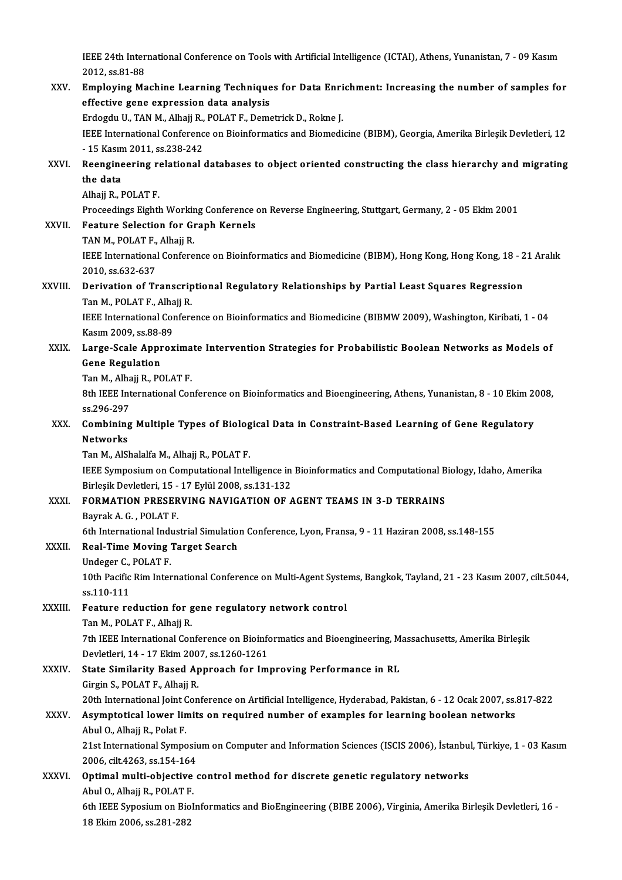### IEEE 24th International Conference on Tools with Artificial Intelligence (ICTAI), Athens, Yunanistan, 7 - 09 Kasım<br>2012.68.81.99 IEEE 24th Inter<br>2012, ss.81-88<br>Employing Me IEEE 24th International Conference on Tools with Artificial Intelligence (ICTAI), Athens, Yunanistan, 7 - 09 Kasım<br>2012, ss.81-88<br>XXV. Employing Machine Learning Techniques for Data Enrichment: Increasing the number of sam 2012, ss.81-88<br>Employing Machine Learning Techniques for Data Enrichment: Increasing the number of samples for<br>effective gene expression data analysis Employing Machine Learning Techniques for Data Enri<br>effective gene expression data analysis<br>Erdogdu U., TAN M., Alhajj R., POLAT F., Demetrick D., Rokne J.<br>IEEE International Conference on Bioinfermatics and Biomedi IEEE International Conference on Bioinformatics and Biomedicine (BIBM), Georgia, Amerika Birleşik Devletleri, 12<br>- 15 Kasım 2011, ss.238-242 Erdogdu U., TAN M., Alhajj R.,<br>IEEE International Conferenc<br>- 15 Kasım 2011, ss.238-242<br>Beengineering relational IEEE International Conference on Bioinformatics and Biomedicine (BIBM), Georgia, Amerika Birleşik Devletleri, 12<br>- 15 Kasım 2011, ss.238-242<br>XXVI. Reengineering relational databases to object oriented constructing the clas - 15 Kasın<br>Reengine<br>the data<br>Albaii B. I Reengineering re<br>the data<br>Alhajj R., POLAT F.<br>Proceedings Eight! the data<br>Alhajj R., POLAT F.<br>Proceedings Eighth Working Conference on Reverse Engineering, Stuttgart, Germany, 2 - 05 Ekim 2001<br>Feature Selestien for Craph Kernels Alhajj R., POLAT F.<br>Proceedings Eighth Working Conference<br>XXVII. Feature Selection for Graph Kernels<br>TAN M. POLATE Albajj P. Proceedings Eighth Workin<br>Feature Selection for G1<br>TAN M., POLAT F., Alhajj R.<br>JEEE International Confore Feature Selection for Graph Kernels<br>TAN M., POLAT F., Alhajj R.<br>IEEE International Conference on Bioinformatics and Biomedicine (BIBM), Hong Kong, Hong Kong, 18 - 21 Aralık<br>2010. ss 622.627 TAN M., POLAT F.,<br>IEEE International<br>2010, ss.632-637<br>Donivation of Tr IEEE International Conference on Bioinformatics and Biomedicine (BIBM), Hong Kong, Hong Kong, 18 - 2<br>2010, ss.632-637<br>XXVIII. Derivation of Transcriptional Regulatory Relationships by Partial Least Squares Regression<br>Tap M 2010, ss.632-637<br>Derivation of Transcriptional Regulatory Relationships by Partial Least Squares Regression IEEE International Conference on Bioinformatics and Biomedicine (BIBMW 2009), Washington, Kiribati, 1 - 04<br>Kasım 2009. ss.88-89 Tan M., POLAT F., Alhajj R. IEEE International Conference on Bioinformatics and Biomedicine (BIBMW 2009), Washington, Kiribati, 1 - 04<br>Kasım 2009, ss.88-89<br>XXIX. Large-Scale Approximate Intervention Strategies for Probabilistic Boolean Networks as Mo Kasım 2009, ss.88-t<br>Large-Scale Appr<br>Gene Regulation<br>Tan M. Albaü B. BC Large-Scale Approxima<br>Gene Regulation<br>Tan M., Alhajj R., POLAT F.<br><sup>9th IEEE International Con</sup> Gene Regulation<br>Tan M., Alhajj R., POLAT F.<br>8th IEEE International Conference on Bioinformatics and Bioengineering, Athens, Yunanistan, 8 - 10 Ekim 2008,<br>88.296.297 Tan M., Alha<br>8th IEEE Int<br>ss.296-297<br>Combining 8th IEEE International Conference on Bioinformatics and Bioengineering, Athens, Yunanistan, 8 - 10 Ekim 26 ss, 296-297<br>XXX. Combining Multiple Types of Biological Data in Constraint-Based Learning of Gene Regulatory<br>Networ ss.296-297<br>Combining<br>Networks<br>Tan M - Alsi Combining Multiple Types of Biolog<br>Networks<br>Tan M., AlShalalfa M., Alhajj R., POLAT F.<br>IEEE Symposium on Computational Intel Networks<br>Tan M., AlShalalfa M., Alhajj R., POLAT F.<br>IEEE Symposium on Computational Intelligence in Bioinformatics and Computational Biology, Idaho, Amerika Tan M., AlShalalfa M., Alhajj R., POLAT F.<br>IEEE Symposium on Computational Intelligence in<br>Birleşik Devletleri, 15 - 17 Eylül 2008, ss.131-132<br>EORMATION PRESERVINC NAVICATION OF A XXXI. FORMATION PRESERVING NAVIGATION OF AGENT TEAMS IN 3-D TERRAINS<br>Bayrak A. G., POLAT F. Birleşik Devletleri, 15<br>FORMATION PRESER<br>Bayrak A. G. , POLAT F.<br>Eth International Indus 6th International Industrial Simulation Conference, Lyon, Fransa, 9 - 11 Haziran 2008, ss.148-155 Bayrak A. G. , POLAT F.<br>6th International Industrial Simulation<br>XXXII. Real-Time Moving Target Search 6th International Indi<br>Real-Time Moving<br>Undeger C., POLAT F.<br>10th Basifis Bim Inter 10th Pacific Rim International Conference on Multi-Agent Systems, Bangkok, Tayland, 21 - 23 Kasım 2007, cilt.5044,<br>ss.110-111 Undeger C., POLAT F 10th Pacific Rim International Conference on Multi-Agent Syste<br>ss.110-111<br>XXXIII. Feature reduction for gene regulatory network control<br>Tap M\_POLATE\_Albaji P ss.110-111<br>Feature reduction for g<br>Tan M., POLAT F., Alhajj R.<br>7th IEEE International Con Feature reduction for gene regulatory network control<br>Tan M., POLAT F., Alhajj R.<br>7th IEEE International Conference on Bioinformatics and Bioengineering, Massachusetts, Amerika Birleşik<br>Devletleri 14, 17 Ehim 2007 cs 1260-Tan M., POLAT F., Alhajj R.<br>7th IEEE International Conference on Bioinfo<br>Devletleri, 14 - 17 Ekim 2007, ss.1260-1261<br>State Similarity Based Annroach for Im 7th IEEE International Conference on Bioinformatics and Bioengineering, M<br>Devletleri, 14 - 17 Ekim 2007, ss.1260-1261<br>XXXIV. State Similarity Based Approach for Improving Performance in RL<br>Girgin S. POLATE Albeii P. Devletleri, 14 - 17 Ekim 200<br>State Similarity Based Ap<br>Girgin S., POLAT F., Alhajj R.<br>20th International Joint Con State Similarity Based Approach for Improving Performance in RL<br>Girgin S., POLAT F., Alhajj R.<br>20th International Joint Conference on Artificial Intelligence, Hyderabad, Pakistan, 6 - 12 Ocak 2007, ss.817-822<br>Asymptotical Girgin S., POLAT F., Alhajj R.<br>20th International Joint Conference on Artificial Intelligence, Hyderabad, Pakistan, 6 - 12 Ocak 2007, ss.<br>XXXV. Asymptotical lower limits on required number of examples for learning boolean

### 20th International Joint C<br>Asymptotical lower lin<br>Abul O., Alhajj R., Polat F.<br>21st International Sumpe Asymptotical lower limits on required number of examples for learning boolean networks<br>Abul O., Alhajj R., Polat F.<br>21st International Symposium on Computer and Information Sciences (ISCIS 2006), İstanbul, Türkiye, 1 - 03 Abul O., Alhajj R., Polat F.<br>21st International Symposii<br>2006, cilt.4263, ss.154-164<br>Ontimal multi abiastiva

21st International Symposium on Computer and Information Sciences (ISCIS 2006), İstanbu<br>2006, cilt.4263, ss.154-164<br>XXXVI. Optimal multi-objective control method for discrete genetic regulatory networks 2006, cilt.4263, ss.154-164<br>**Optimal multi-objective**<br>Abul O., Alhajj R., POLAT F.<br>6th IEEE Syngsium on Biol 0ptimal multi-objective control method for discrete genetic regulatory networks<br>Abul O., Alhajj R., POLAT F.<br>6th IEEE Syposium on BioInformatics and BioEngineering (BIBE 2006), Virginia, Amerika Birleşik Devletleri, 16 -<br>1 Abul O., Alhajj R., POLAT F<br>6th IEEE Syposium on Bio<br>18 Ekim 2006, ss.281-282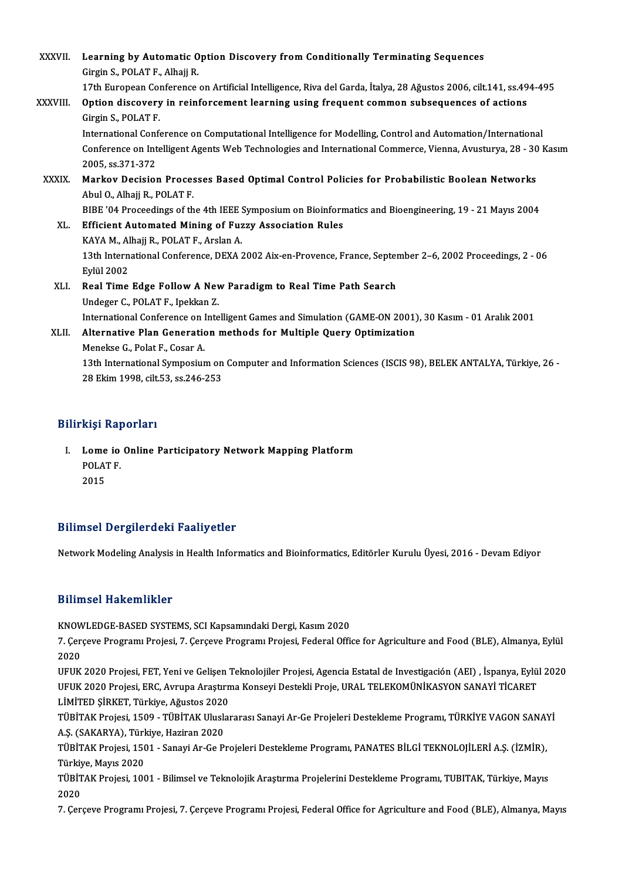| XXXVII.      | Learning by Automatic Option Discovery from Conditionally Terminating Sequences<br>Girgin S., POLAT F., Alhajj R.                  |
|--------------|------------------------------------------------------------------------------------------------------------------------------------|
|              | 17th European Conference on Artificial Intelligence, Riva del Garda, İtalya, 28 Ağustos 2006, cilt.141, ss.494-495                 |
| XXXVIII.     | Option discovery in reinforcement learning using frequent common subsequences of actions<br>Girgin S, POLAT F.                     |
|              | International Conference on Computational Intelligence for Modelling, Control and Automation/International                         |
|              | Conference on Intelligent Agents Web Technologies and International Commerce, Vienna, Avusturya, 28 - 30 Kasım<br>2005, ss 371-372 |
| <b>XXXIX</b> | Markov Decision Processes Based Optimal Control Policies for Probabilistic Boolean Networks                                        |
|              | Abul O, Alhajj R, POLAT F.                                                                                                         |
|              | BIBE '04 Proceedings of the 4th IEEE Symposium on Bioinformatics and Bioengineering, 19 - 21 Mayıs 2004                            |
| XL.          | <b>Efficient Automated Mining of Fuzzy Association Rules</b>                                                                       |
|              | KAYA M., Alhajj R., POLAT F., Arslan A.                                                                                            |
|              | 13th International Conference, DEXA 2002 Aix-en-Provence, France, September 2-6, 2002 Proceedings, 2 - 06                          |
|              | Eylül 2002                                                                                                                         |
| XLI.         | Real Time Edge Follow A New Paradigm to Real Time Path Search                                                                      |
|              | Undeger C., POLAT F., Ipekkan Z.                                                                                                   |
|              | International Conference on Intelligent Games and Simulation (GAME-ON 2001), 30 Kasım - 01 Aralık 2001                             |
| XLII.        | Alternative Plan Generation methods for Multiple Query Optimization                                                                |
|              | Menekse G., Polat F., Cosar A.                                                                                                     |
|              | 13th International Symposium on Computer and Information Sciences (ISCIS 98), BELEK ANTALYA, Türkiye, 26 -                         |
|              | 28 Ekim 1998, cilt 53, ss.246-253                                                                                                  |

#### Bilirkişi Raporları

ilirkişi Raporları<br>I. Lome io Online Participatory Network Mapping Platform<br>ROLATE Lome io<br>Lome io<br>POLAT F. Lome<br>POLA<sup>r</sup><br>2015

# 2015<br>Bilimsel Dergilerdeki Faaliyetler

Network Modeling Analysis in Health Informatics and Bioinformatics, Editörler Kurulu Üyesi, 2016 - Devam Ediyor

#### Bilimsel Hakemlikler

KNOWLEDGE-BASED SYSTEMS, SCI Kapsamındaki Dergi, Kasım 2020

2.11.11.001 Tranofirminist<br>KNOWLEDGE-BASED SYSTEMS, SCI Kapsamındaki Dergi, Kasım 2020<br>7. Çerçeve Programı Projesi, 7. Çerçeve Programı Projesi, Federal Office for Agriculture and Food (BLE), Almanya, Eylül KNOW<br>7. Çer<br>2020<br>UEUV 7. Çerçeve Programı Projesi, 7. Çerçeve Programı Projesi, Federal Office for Agriculture and Food (BLE), Almanya, Eylül<br>2020<br>UFUK 2020 Projesi, FET, Yeni ve Gelişen Teknolojiler Projesi, Agencia Estatal de Investigación (A

2020<br>UFUK 2020 Projesi, FET, Yeni ve Gelişen Teknolojiler Projesi, Agencia Estatal de Investigación (AEI) , İspanya, Eylül 2020<br>UFUK 2020 Projesi, ERC, Avrupa Araştırma Konseyi Destekli Proje, URAL TELEKOMÜNİKASYON SANAYİ UFUK 2020 Projesi, FET, Yeni ve Gelişen<br>UFUK 2020 Projesi, ERC, Avrupa Araştırn<br>LİMİTED ŞİRKET, Türkiye, Ağustos 2020<br>TÜRİTAK Projesi, 1500 - TÜRİTAK Ulusla UFUK 2020 Projesi, ERC, Avrupa Araştırma Konseyi Destekli Proje, URAL TELEKOMÜNİKASYON SANAYİ TİCARET<br>LİMİTED ŞİRKET, Türkiye, Ağustos 2020<br>TÜBİTAK Projesi, 1509 - TÜBİTAK Uluslararası Sanayi Ar-Ge Projeleri Destekleme Pro

LİMİTED ŞİRKET, Türkiye, Ağustos 2020<br>TÜBİTAK Projesi, 1509 - TÜBİTAK Ulusla<br>A.Ş. (SAKARYA), Türkiye, Haziran 2020<br>TÜBİTAK Projesi, 1501 - Sanayi Ar Ce P TÜBİTAK Projesi, 1509 - TÜBİTAK Uluslararası Sanayi Ar-Ge Projeleri Destekleme Programı, TÜRKİYE VAGON SANA'<br>A.Ş. (SAKARYA), Türkiye, Haziran 2020<br>TüBİTAK Projesi, 1501 - Sanayi Ar-Ge Projeleri Destekleme Programı, PANATES

A.Ş. (SAKARYA), Türkiye, Haziran 2020<br>TÜBİTAK Projesi, 1501 - Sanayi Ar-Ge Projeleri Destekleme Programı, PANATES BİLGİ TEKNOLOJİLERİ A.Ş. (İZMİR),<br>Türkiye, Mayıs 2020 TÜBİTAK Projesi, 1501 - Sanayi Ar-Ge Projeleri Destekleme Programı, PANATES BİLGİ TEKNOLOJİLERİ A.Ş. (İZMİR),<br>Türkiye, Mayıs 2020<br>TÜBİTAK Projesi, 1001 - Bilimsel ve Teknolojik Araştırma Projelerini Destekleme Programı, TU

Türkiy<br>TÜBİT<br>2020<br>7 Cer TÜBİTAK Projesi, 1001 - Bilimsel ve Teknolojik Araştırma Projelerini Destekleme Programı, TUBITAK, Türkiye, Mayıs<br>2020<br>7. Çerçeve Programı Projesi, 7. Çerçeve Programı Projesi, Federal Office for Agriculture and Food (BLE)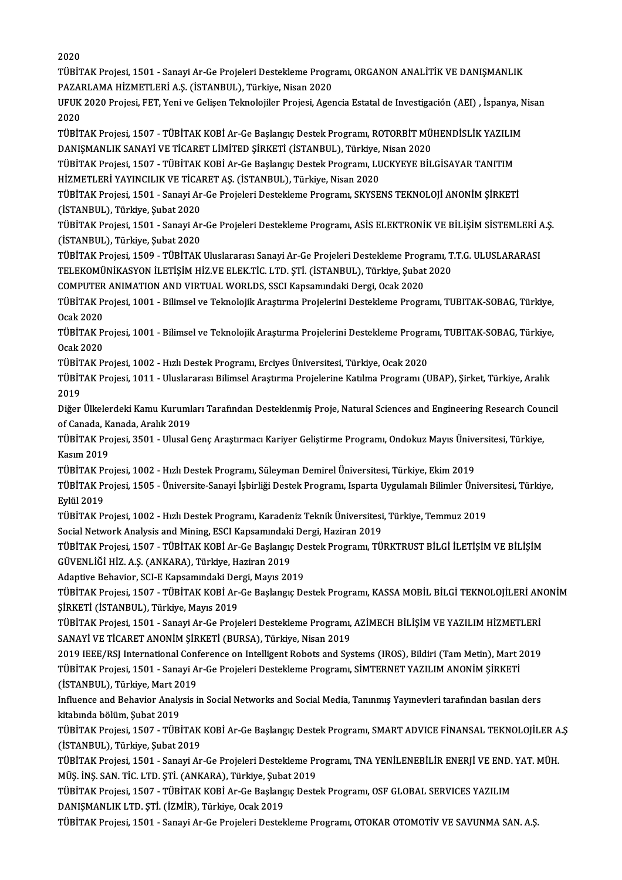2020

2020<br>TÜBİTAK Projesi, 1501 - Sanayi Ar-Ge Projeleri Destekleme Programı, ORGANON ANALİTİK VE DANIŞMANLIK<br>RAZARLAMA HİZMETLERİ A.S. (İSTANBUL), Türkiye Nişar 2020 2020<br>TÜBİTAK Projesi, 1501 - Sanayi Ar-Ge Projeleri Destekleme Progr<br>PAZARLAMA HİZMETLERİ A.Ş. (İSTANBUL), Türkiye, Nisan 2020<br>UEUK 2020 Prejesi, EET Yoni ve Celisen Telmelejiler Prejesi, Aser TÜBİTAK Projesi, 1501 - Sanayi Ar-Ge Projeleri Destekleme Programı, ORGANON ANALİTİK VE DANIŞMANLIK<br>PAZARLAMA HİZMETLERİ A.Ş. (İSTANBUL), Türkiye, Nisan 2020<br>UFUK 2020 Projesi, FET, Yeni ve Gelişen Teknolojiler Projesi, Ag

PAZARLAMA HİZMETLERİ A.Ş. (İSTANBUL), Türkiye, Nisan 2020<br>UFUK 2020 Projesi, FET, Yeni ve Gelişen Teknolojiler Projesi, Age<br>2020 UFUK 2020 Projesi, FET, Yeni ve Gelişen Teknolojiler Projesi, Agencia Estatal de Investigación (AEI), İspanya, Nisan

2020<br>TÜBİTAK Projesi, 1507 - TÜBİTAK KOBİ Ar-Ge Başlangıç Destek Programı, ROTORBİT MÜ<br>DANIŞMANLIK SANAYİ VE TİCARET LİMİTED ŞİRKETİ (İSTANBUL), Türkiye, Nisan 2020<br>TÜRİTAK Projesi, 1507 - TÜRİTAK KORİ Ar Ge Başlangış Dest

TÜBİTAK Projesi, 1507 - TÜBİTAK KOBİ Ar-Ge Başlangıç Destek Programı, ROTORBİT MÜHENDİSLİK YAZILIM<br>DANIŞMANLIK SANAYİ VE TİCARET LİMİTED ŞİRKETİ (İSTANBUL), Türkiye, Nisan 2020<br>TÜBİTAK Projesi, 1507 - TÜBİTAK KOBİ Ar-Ge Ba DANIŞMANLIK SANAYİ VE TİCARET LİMİTED ŞİRKETİ (İSTANBUL), Türkiye,<br>TÜBİTAK Projesi, 1507 - TÜBİTAK KOBİ Ar-Ge Başlangıç Destek Programı, LU<br>HİZMETLERİ YAYINCILIK VE TİCARET AŞ. (İSTANBUL), Türkiye, Nisan 2020<br>TÜBİTAK Proje TÜBİTAK Projesi, 1507 - TÜBİTAK KOBİ Ar-Ge Başlangıç Destek Programı, LUCKYEYE BİLGİSAYAR TANITIM<br>HİZMETLERİ YAYINCILIK VE TİCARET AŞ. (İSTANBUL), Türkiye, Nisan 2020<br>TÜBİTAK Projesi, 1501 - Sanayi Ar-Ge Projeleri Destekle

HİZMETLERİ YAYINCILIK VE TİCA<br>TÜBİTAK Projesi, 1501 - Sanayi Ar<br>(İSTANBUL), Türkiye, Şubat 2020<br>TÜBİTAK Projesi, 1501 - Sanayi Ar TÜBİTAK Projesi, 1501 - Sanayi Ar-Ge Projeleri Destekleme Programı, SKYSENS TEKNOLOJİ ANONİM ŞİRKETİ<br>(İSTANBUL), Türkiye, Şubat 2020<br>TÜBİTAK Projesi, 1501 - Sanayi Ar-Ge Projeleri Destekleme Programı, ASİS ELEKTRONİK VE Bİ

(İSTANBUL), Türkiye, Şubat 2020<br>TÜBİTAK Projesi, 1501 - Sanayi Ar-Ge Projeleri Destekleme Programı, ASİS ELEKTRONİK VE BİLİŞİM SİSTEMLERİ A.Ş.<br>(İSTANBUL), Türkiye, Şubat 2020 TÜBİTAK Projesi, 1501 - Sanayi Ar-Ge Projeleri Destekleme Programı, ASİS ELEKTRONİK VE BİLİŞİM SİSTEMLERİ *A*<br>(İSTANBUL), Türkiye, Şubat 2020<br>TÜBİTAK Projesi, 1509 - TÜBİTAK Uluslararası Sanayi Ar-Ge Projeleri Destekleme P

(İSTANBUL), Türkiye, Şubat 2020<br>TÜBİTAK Projesi, 1509 - TÜBİTAK Uluslararası Sanayi Ar-Ge Projeleri Destekleme Programı, T<br>TELEKOMÜNİKASYON İLETİŞİM HİZ.VE ELEK.TİC. LTD. ŞTİ. (İSTANBUL), Türkiye, Şubat 2020<br>COMBUTER ANIMA TÜBİTAK Projesi, 1509 - TÜBİTAK Uluslararası Sanayi Ar-Ge Projeleri Destekleme Progl<br>TELEKOMÜNİKASYON İLETİŞİM HİZ.VE ELEK.TİC. LTD. ŞTİ. (İSTANBUL), Türkiye, Şubat<br>COMPUTER ANIMATION AND VIRTUAL WORLDS, SSCI Kapsamındaki

COMPUTER ANIMATION AND VIRTUAL WORLDS, SSCI Kapsamındaki Dergi, Ocak 2020

TELEKOMÜNİKASYON İLETİŞİM HİZ.VE ELEK.TİC. LTD. ŞTİ. (İSTANBUL), Türkiye, Şubat 2020<br>COMPUTER ANIMATION AND VIRTUAL WORLDS, SSCI Kapsamındaki Dergi, Ocak 2020<br>TÜBİTAK Projesi, 1001 - Bilimsel ve Teknolojik Araştırma Projel TÜBİTAK Projesi, 1001 - Bilimsel ve Teknolojik Araştırma Projelerini Destekleme Programı, TUBITAK-SOBAG, Türkiye,<br>Ocak 2020<br>TÜBİTAK Projesi, 1001 - Bilimsel ve Teknolojik Araştırma Projelerini Destekleme Programı, TUBITAK-

Ocak 2020<br>TÜBİTAK Pı<br>Ocak 2020<br>TÜBİTAK B TÜBİTAK Projesi, 1001 - Bilimsel ve Teknolojik Araştırma Projelerini Destekleme Program<br>Ocak 2020<br>TÜBİTAK Projesi, 1002 - Hızlı Destek Programı, Erciyes Üniversitesi, Türkiye, Ocak 2020<br>TÜBİTAK Projesi, 1011 - Uluslararası

TÜBİTAK Projesi, 1002 - Hızlı Destek Programı, Erciyes Üniversitesi, Türkiye, Ocak 2020

Ocak 2020<br>TÜBİTAK Projesi, 1002 - Hızlı Destek Programı, Erciyes Üniversitesi, Türkiye, Ocak 2020<br>TÜBİTAK Projesi, 1011 - Uluslararası Bilimsel Araştırma Projelerine Katılma Programı (UBAP), Şirket, Türkiye, Aralık<br>2019 TÜBİTAK Projesi, 1011 - Uluslararası Bilimsel Araştırma Projelerine Katılma Programı (UBAP), Şirket, Türkiye, Aralık<br>2019<br>Diğer Ülkelerdeki Kamu Kurumları Tarafından Desteklenmiş Proje, Natural Sciences and Engineering Res

2019<br>Diğer Ülkelerdeki Kamu Kuruml<br>of Canada, Kanada, Aralık 2019<br>TÜRİTAK Projesi, 3501 - Ulusal ( Diğer Ülkelerdeki Kamu Kurumları Tarafından Desteklenmiş Proje, Natural Sciences and Engineering Research Coul<br>of Canada, Kanada, Aralık 2019<br>TÜBİTAK Projesi, 3501 - Ulusal Genç Araştırmacı Kariyer Geliştirme Programı, Ond

of Canada, K<br>TÜBİTAK Pro<br>Kasım 2019<br>TÜPİTAK Pro TÜBİTAK Projesi, 3501 - Ulusal Genç Araştırmacı Kariyer Geliştirme Programı, Ondokuz Mayıs Ünive<br>Kasım 2019<br>TÜBİTAK Projesi, 1002 - Hızlı Destek Programı, Süleyman Demirel Üniversitesi, Türkiye, Ekim 2019<br>TÜBİTAK Projesi,

Kasım 2019<br>TÜBİTAK Projesi, 1002 - Hızlı Destek Programı, Süleyman Demirel Üniversitesi, Türkiye, Ekim 2019<br>TÜBİTAK Projesi, 1505 - Üniversite-Sanayi İşbirliği Destek Programı, Isparta Uygulamalı Bilimler Üniversitesi, Tür TÜBİTAK P<mark>ı</mark><br>TÜBİTAK Pı<br>Eylül 2019<br>TÜBİTAK Pı TÜBİTAK Projesi, 1505 - Üniversite-Sanayi İşbirliği Destek Programı, Isparta Uygulamalı Bilimler Ünive<br>Eylül 2019<br>TÜBİTAK Projesi, 1002 - Hızlı Destek Programı, Karadeniz Teknik Üniversitesi, Türkiye, Temmuz 2019<br>Sosial Na Eylül 2019<br>TÜBİTAK Projesi, 1002 - Hızlı Destek Programı, Karadeniz Teknik Üniversitesi<br>Social Network Analysis and Mining, ESCI Kapsamındaki Dergi, Haziran 2019<br>TÜRİTAK Projesi, 1507 - TÜRİTAK KORİ Ar Ge Baslang'e Destak

TÜBİTAK Projesi, 1002 - Hızlı Destek Programı, Karadeniz Teknik Üniversitesi, Türkiye, Temmuz 2019<br>Social Network Analysis and Mining, ESCI Kapsamındaki Dergi, Haziran 2019<br>TÜBİTAK Projesi, 1507 - TÜBİTAK KOBİ Ar-Ge Başlan Social Network Analysis and Mining, ESCI Kapsamındaki<br>TÜBİTAK Projesi, 1507 - TÜBİTAK KOBİ Ar-Ge Başlangıç<br>GÜVENLİĞİ HİZ. A.Ş. (ANKARA), Türkiye, Haziran 2019<br>Adaptiye Babayior, SCLE Kapsamındaki Darsi Mayıs 20 TÜBİTAK Projesi, 1507 - TÜBİTAK KOBİ Ar-Ge Başlangıç De<br>GÜVENLİĞİ HİZ. A.Ş. (ANKARA), Türkiye, Haziran 2019<br>Adaptive Behavior, SCI-E Kapsamındaki Dergi, Mayıs 2019<br>TÜBİTAK Prejesi, 1507 - TÜBİTAK KOBİ Ar Ge Başlangış De

Adaptive Behavior, SCI-E Kapsamındaki Dergi, Mayıs 2019

GÜVENLİĞİ HİZ. A.Ş. (ANKARA), Türkiye, Haziran 2019<br>Adaptive Behavior, SCI-E Kapsamındaki Dergi, Mayıs 2019<br>TÜBİTAK Projesi, 1507 - TÜBİTAK KOBİ Ar-Ge Başlangıç Destek Programı, KASSA MOBİL BİLGİ TEKNOLOJİLERİ ANONİM<br>ŞİRKE TÜBİTAK Projesi, 1507 - TÜBİTAK KOBİ Ar-Ge Başlangıç Destek Programı, KASSA MOBİL BİLGİ TEKNOLOJİLERİ AN<br>ŞİRKETİ (İSTANBUL), Türkiye, Mayıs 2019<br>TÜBİTAK Projesi, 1501 - Sanayi Ar-Ge Projeleri Destekleme Programı, AZİMECH B

ŞİRKETİ (İSTANBUL), Türkiye, Mayıs 2019<br>TÜBİTAK Projesi, 1501 - Sanayi Ar-Ge Projeleri Destekleme Programı,<br>SANAYİ VE TİCARET ANONİM ŞİRKETİ (BURSA), Türkiye, Nisan 2019<br>2019 IEEE (PSI International Conference on Intellige TÜBİTAK Projesi, 1501 - Sanayi Ar-Ge Projeleri Destekleme Programı, AZİMECH BİLİŞİM VE YAZILIM HİZMETLERİ<br>SANAYİ VE TİCARET ANONİM ŞİRKETİ (BURSA), Türkiye, Nisan 2019<br>2019 IEEE/RSJ International Conference on Intelligent

SANAYİ VE TİCARET ANONİM ŞİRKETİ (BURSA), Türkiye, Nisan 2019<br>2019 IEEE/RSJ International Conference on Intelligent Robots and Systems (IROS), Bildiri (Tam Metin), Mart 2<br>TÜBİTAK Projesi, 1501 - Sanayi Ar-Ge Projeleri Dest 2019 IEEE/RSJ International Conf<br>TÜBİTAK Projesi, 1501 - Sanayi A<br>(İSTANBUL), Türkiye, Mart 2019<br>Influence and Behavion Analysis i (İSTANBUL), Türkiye, Mart 2019

Influence and Behavior Analysis in Social Networks and Social Media, Tanınmış Yayınevleri tarafından basılan ders<br>kitabında bölüm, Subat 2019 Influence and Behavior Analysis in Social Networks and Social Media, Tanınmış Yayınevleri tarafından basılan ders<br>kitabında bölüm, Şubat 2019<br>TÜBİTAK Projesi, 1507 - TÜBİTAK KOBİ Ar-Ge Başlangıç Destek Programı, SMART ADVI

kitabında bölüm, Şubat 2019<br>TÜBİTAK Projesi, 1507 - TÜBİTAK<br>(İSTANBUL), Türkiye, Şubat 2019<br>TÜBİTAK Projesi, 1501 - Sanavi Ar TÜBİTAK Projesi, 1507 - TÜBİTAK KOBİ Ar-Ge Başlangıç Destek Programı, SMART ADVICE FİNANSAL TEKNOLOJİLER A<br>(İSTANBUL), Türkiye, Şubat 2019<br>TÜBİTAK Projesi, 1501 - Sanayi Ar-Ge Projeleri Destekleme Programı, TNA YENİLENEBİL

(İSTANBUL), Türkiye, Şubat 2019<br>TÜBİTAK Projesi, 1501 - Sanayi Ar-Ge Projeleri Destekleme Pr<br>MÜŞ. İNŞ. SAN. TİC. LTD. ŞTİ. (ANKARA), Türkiye, Şubat 2019<br>TÜRİTAK Projesi, 1507 - TÜRİTAK KORİ Ar Ge Baslang'e Desta TÜBİTAK Projesi, 1501 - Sanayi Ar-Ge Projeleri Destekleme Programı, TNA YENİLENEBİLİR ENERJİ VE END.<br>MÜŞ. İNŞ. SAN. TİC. LTD. ŞTİ. (ANKARA), Türkiye, Şubat 2019<br>TÜBİTAK Projesi, 1507 - TÜBİTAK KOBİ Ar-Ge Başlangıç Destek P

MÜŞ. İNŞ. SAN. TİC. LTD. ŞTİ. (ANKARA), Türkiye, Şubat 2019<br>TÜBİTAK Projesi, 1507 - TÜBİTAK KOBİ Ar-Ge Başlangıç Destek Programı, OSF GLOBAL SERVICES YAZILIM<br>DANIŞMANLIK LTD. ŞTİ. (İZMİR), Türkiye, Ocak 2019

TÜBİTAK Projesi, 1501 - Sanayi Ar-Ge Projeleri Destekleme Programı, OTOKAR OTOMOTİV VE SAVUNMA SAN. A.Ş.